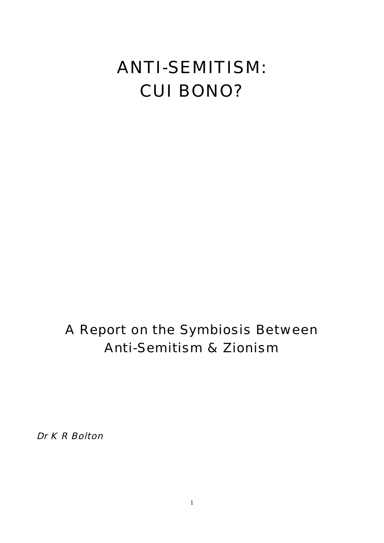# ANTI-SEMITISM: CUI BONO?

A Report on the Symbiosis Between Anti-Semitism & Zionism

Dr K R Bolton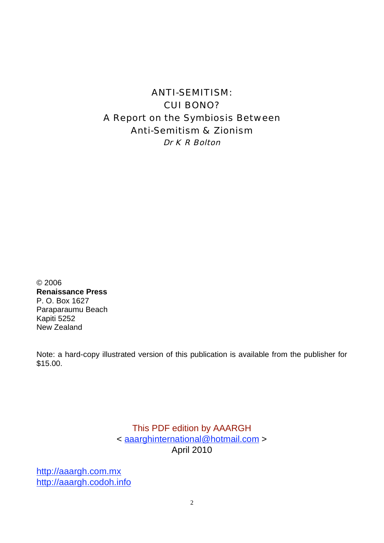ANTI-SEMITISM: CUI BONO? A Report on the Symbiosis Between Anti-Semitism & Zionism Dr K R Bolton

© 2006 **Renaissance Press**  P. O. Box 1627 Paraparaumu Beach Kapiti 5252 New Zealand

Note: a hard-copy illustrated version of this publication is available from the publisher for \$15.00.

> This PDF edition by AAARGH < aaarghinternational@hotmail.com > April 2010

http://aaargh.com.mx http://aaargh.codoh.info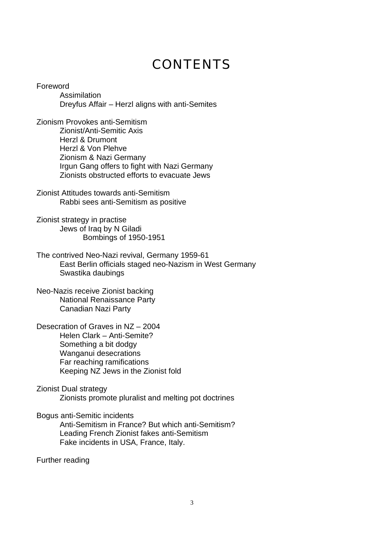## CONTENTS

Foreword Assimilation Dreyfus Affair – Herzl aligns with anti-Semites

Zionism Provokes anti-Semitism Zionist/Anti-Semitic Axis Herzl & Drumont Herzl & Von Plehve Zionism & Nazi Germany Irgun Gang offers to fight with Nazi Germany Zionists obstructed efforts to evacuate Jews

Zionist Attitudes towards anti-Semitism Rabbi sees anti-Semitism as positive

Zionist strategy in practise Jews of Iraq by N Giladi Bombings of 1950-1951

The contrived Neo-Nazi revival, Germany 1959-61 East Berlin officials staged neo-Nazism in West Germany Swastika daubings

Neo-Nazis receive Zionist backing National Renaissance Party Canadian Nazi Party

Desecration of Graves in NZ – 2004 Helen Clark – Anti-Semite? Something a bit dodgy Wanganui desecrations Far reaching ramifications Keeping NZ Jews in the Zionist fold

Zionist Dual strategy Zionists promote pluralist and melting pot doctrines

Bogus anti-Semitic incidents Anti-Semitism in France? But which anti-Semitism? Leading French Zionist fakes anti-Semitism Fake incidents in USA, France, Italy.

Further reading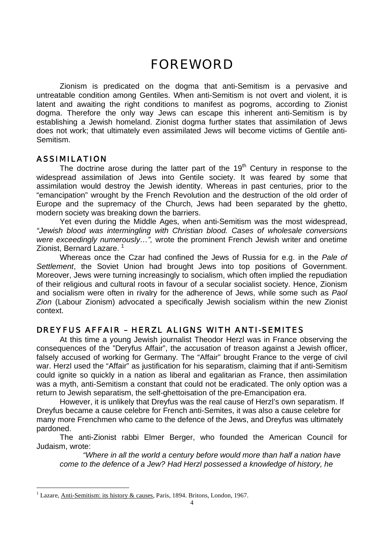## FOREWORD

 Zionism is predicated on the dogma that anti-Semitism is a pervasive and untreatable condition among Gentiles. When anti-Semitism is not overt and violent, it is latent and awaiting the right conditions to manifest as pogroms, according to Zionist dogma. Therefore the only way Jews can escape this inherent anti-Semitism is by establishing a Jewish homeland. Zionist dogma further states that assimilation of Jews does not work; that ultimately even assimilated Jews will become victims of Gentile anti-Semitism.

### ASSIMILATION

1

The doctrine arose during the latter part of the  $19<sup>th</sup>$  Century in response to the widespread assimilation of Jews into Gentile society. It was feared by some that assimilation would destroy the Jewish identity. Whereas in past centuries, prior to the "emancipation" wrought by the French Revolution and the destruction of the old order of Europe and the supremacy of the Church, Jews had been separated by the ghetto, modern society was breaking down the barriers.

 Yet even during the Middle Ages, when anti-Semitism was the most widespread, *"Jewish blood was intermingling with Christian blood. Cases of wholesale conversions were exceedingly numerously…",* wrote the prominent French Jewish writer and onetime Zionist, Bernard Lazare.<sup>1</sup>

Whereas once the Czar had confined the Jews of Russia for e.g. in the *Pale of Settlement*, the Soviet Union had brought Jews into top positions of Government. Moreover, Jews were turning increasingly to socialism, which often implied the repudiation of their religious and cultural roots in favour of a secular socialist society. Hence, Zionism and socialism were often in rivalry for the adherence of Jews, while some such as *Paol Zion* (Labour Zionism) advocated a specifically Jewish socialism within the new Zionist context.

### DREYFUS AFFAIR – HERZL ALIGNS WITH ANTI-SEMITES

 At this time a young Jewish journalist Theodor Herzl was in France observing the consequences of the "Deryfus Affair", the accusation of treason against a Jewish officer, falsely accused of working for Germany. The "Affair" brought France to the verge of civil war. Herzl used the "Affair" as justification for his separatism, claiming that if anti-Semitism could ignite so quickly in a nation as liberal and egalitarian as France, then assimilation was a myth, anti-Semitism a constant that could not be eradicated. The only option was a return to Jewish separatism, the self-ghettoisation of the pre-Emancipation era.

 However, it is unlikely that Dreyfus was the real cause of Herzl's own separatism. If Dreyfus became a cause celebre for French anti-Semites, it was also a cause celebre for many more Frenchmen who came to the defence of the Jews, and Dreyfus was ultimately pardoned.

The anti-Zionist rabbi Elmer Berger, who founded the American Council for Judaism, wrote:

*"Where in all the world a century before would more than half a nation have come to the defence of a Jew? Had Herzl possessed a knowledge of history, he* 

<sup>&</sup>lt;sup>1</sup> Lazare, Anti-Semitism: its history & causes, Paris, 1894. Britons, London, 1967.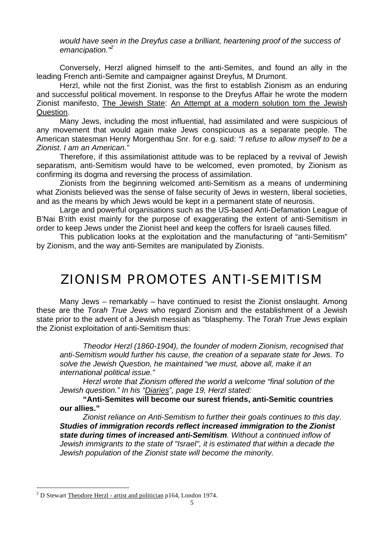*would have seen in the Dreyfus case a brilliant, heartening proof of the success of emancipation."2*

Conversely, Herzl aligned himself to the anti-Semites, and found an ally in the leading French anti-Semite and campaigner against Dreyfus, M Drumont.

 Herzl, while not the first Zionist, was the first to establish Zionism as an enduring and successful political movement. In response to the Dreyfus Affair he wrote the modern Zionist manifesto, The Jewish State: An Attempt at a modern solution tom the Jewish Question.

 Many Jews, including the most influential, had assimilated and were suspicious of any movement that would again make Jews conspicuous as a separate people. The American statesman Henry Morgenthau Snr. for e.g. said: *"I refuse to allow myself to be a Zionist. I am an American."*

Therefore, if this assimilationist attitude was to be replaced by a revival of Jewish separatism, anti-Semitism would have to be welcomed, even promoted, by Zionism as confirming its dogma and reversing the process of assimilation.

 Zionists from the beginning welcomed anti-Semitism as a means of undermining what Zionists believed was the sense of false security of Jews in western, liberal societies, and as the means by which Jews would be kept in a permanent state of neurosis.

 Large and powerful organisations such as the US-based Anti-Defamation League of B'Nai B'rith exist mainly for the purpose of exaggerating the extent of anti-Semitism in order to keep Jews under the Zionist heel and keep the coffers for Israeli causes filled.

 This publication looks at the exploitation and the manufacturing of "anti-Semitism" by Zionism, and the way anti-Semites are manipulated by Zionists.

## ZIONISM PROMOTES ANTI-SEMITISM

Many Jews – remarkably – have continued to resist the Zionist onslaught. Among these are the *Torah True Jews* who regard Zionism and the establishment of a Jewish state prior to the advent of a Jewish messiah as "blasphemy. The *Torah True Jews* explain the Zionist exploitation of anti-Semitism thus:

*Theodor Herzl (1860-1904), the founder of modern Zionism, recognised that anti-Semitism would further his cause, the creation of a separate state for Jews. To solve the Jewish Question, he maintained "we must, above all, make it an international political issue."* 

*Herzl wrote that Zionism offered the world a welcome "final solution of the Jewish question." In his "Diaries", page 19, Herzl stated:* 

**"Anti-Semites will become our surest friends, anti-Semitic countries our allies."** 

*Zionist reliance on Anti-Semitism to further their goals continues to this day. Studies of immigration records reflect increased immigration to the Zionist state during times of increased anti-Semitism. Without a continued inflow of Jewish immigrants to the state of "Israel", it is estimated that within a decade the Jewish population of the Zionist state will become the minority.* 

1

<sup>&</sup>lt;sup>2</sup> D Stewart Theodore Herzl - artist and politician p164, London 1974.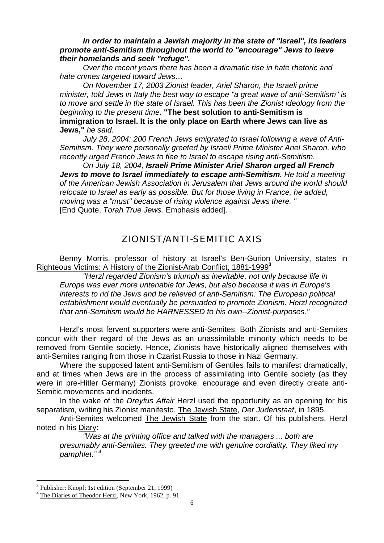*In order to maintain a Jewish majority in the state of "Israel", its leaders promote anti-Semitism throughout the world to "encourage" Jews to leave their homelands and seek "refuge".* 

*Over the recent years there has been a dramatic rise in hate rhetoric and hate crimes targeted toward Jews…* 

*On November 17, 2003 Zionist leader, Ariel Sharon, the Israeli prime minister, told Jews in Italy the best way to escape "a great wave of anti-Semitism" is to move and settle in the state of Israel. This has been the Zionist ideology from the beginning to the present time.* **"The best solution to anti-Semitism is immigration to Israel. It is the only place on Earth where Jews can live as Jews,"** *he said.* 

*July 28, 2004: 200 French Jews emigrated to Israel following a wave of Anti-Semitism. They were personally greeted by Israeli Prime Minister Ariel Sharon, who recently urged French Jews to flee to Israel to escape rising anti-Semitism.* 

*On July 18, 2004, Israeli Prime Minister Ariel Sharon urged all French Jews to move to Israel immediately to escape anti-Semitism. He told a meeting of the American Jewish Association in Jerusalem that Jews around the world should relocate to Israel as early as possible. But for those living in France, he added, moving was a "must" because of rising violence against Jews there. "* [End Quote, *Torah True Jews.* Emphasis added].

## ZIONIST/ANTI-SEMITIC AXIS

Benny Morris, professor of history at Israel's Ben-Gurion University, states in Righteous Victims: A History of the Zionist-Arab Conflict, 1881-1999**<sup>3</sup>**

*"Herzl regarded Zionism's triumph as inevitable, not only because life in Europe was ever more untenable for Jews, but also because it was in Europe's interests to rid the Jews and be relieved of anti-Semitism: The European political establishment would eventually be persuaded to promote Zionism. Herzl recognized that anti-Semitism would be HARNESSED to his own--Zionist-purposes."*

 Herzl's most fervent supporters were anti-Semites. Both Zionists and anti-Semites concur with their regard of the Jews as an unassimilable minority which needs to be removed from Gentile society. Hence, Zionists have historically aligned themselves with anti-Semites ranging from those in Czarist Russia to those in Nazi Germany.

 Where the supposed latent anti-Semitism of Gentiles fails to manifest dramatically, and at times when Jews are in the process of assimilating into Gentile society (as they were in pre-Hitler Germany) Zionists provoke, encourage and even directly create anti-Semitic movements and incidents.

 In the wake of the *Dreyfus Affair* Herzl used the opportunity as an opening for his separatism, writing his Zionist manifesto, The Jewish State, *Der Judenstaat*, in 1895.

 Anti-Semites welcomed The Jewish State from the start. Of his publishers, Herzl noted in his Diary:

*"Was at the printing office and talked with the managers ... both are presumably anti-Semites. They greeted me with genuine cordiality. They liked my pamphlet." 4*

<u>.</u>

<sup>&</sup>lt;sup>3</sup> Publisher: Knopf; 1st edition (September 21, 1999)

<sup>&</sup>lt;sup>4</sup> The Diaries of Theodor Herzl, New York, 1962, p. 91.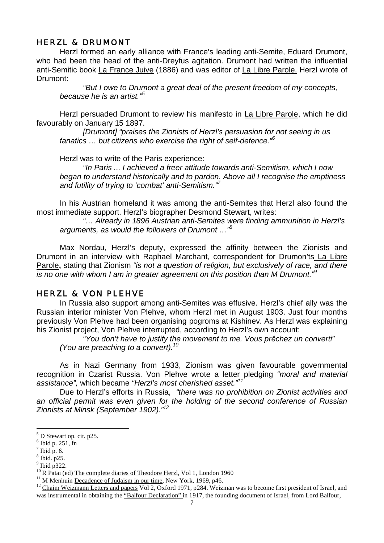#### HERZL & DRUMONT

 Herzl formed an early alliance with France's leading anti-Semite, Eduard Drumont, who had been the head of the anti-Dreyfus agitation. Drumont had written the influential anti-Semitic book La France Juive (1886) and was editor of La Libre Parole. Herzl wrote of Drumont:

*"But I owe to Drumont a great deal of the present freedom of my concepts, because he is an artist."5*

Herzl persuaded Drumont to review his manifesto in La Libre Parole, which he did favourably on January 15 1897.

*[Drumont] "praises the Zionists of Herzl's persuasion for not seeing in us fanatics … but citizens who exercise the right of self-defence."6*

Herzl was to write of the Paris experience:

*"In Paris ... I achieved a freer attitude towards anti-Semitism, which I now began to understand historically and to pardon. Above all I recognise the emptiness and futility of trying to 'combat' anti-Semitism."7*

 In his Austrian homeland it was among the anti-Semites that Herzl also found the most immediate support. Herzl's biographer Desmond Stewart, writes:

*"… Already in 1896 Austrian anti-Semites were finding ammunition in Herzl's arguments, as would the followers of Drumont …"8*

Max Nordau, Herzl's deputy, expressed the affinity between the Zionists and Drumont in an interview with Raphael Marchant, correspondent for Drumon'ts La Libre Parole**,** stating that Zionism *"is not a question of religion, but exclusively of race, and there is no one with whom I am in greater agreement on this position than M Drumont."<sup>9</sup>*

#### HERZL & VON PLEHVE

 In Russia also support among anti-Semites was effusive. Herzl's chief ally was the Russian interior minister Von Plehve, whom Herzl met in August 1903. Just four months previously Von Plehve had been organising pogroms at Kishinev. As Herzl was explaining his Zionist project, Von Plehve interrupted, according to Herzl's own account:

*"You don't have to justify the movement to me. Vous prêchez un converti" (You are preaching to a convert).10*

 As in Nazi Germany from 1933, Zionism was given favourable governmental recognition in Czarist Russia. Von Plehve wrote a letter pledging *"moral and material assistance",* which became *"Herzl's most cherished asset."11*

Due to Herzl's efforts in Russia, *"there was no prohibition on Zionist activities and an official permit was even given for the holding of the second conference of Russian Zionists at Minsk (September 1902)."12*

1

<sup>10</sup> R Patai (ed) The complete diaries of Theodore Herzl, Vol 1, London 1960<br><sup>11</sup> M Menhuin <u>Decadence of Judaism in our time</u>, New York, 1969, p46.<br><sup>12</sup> Chaim Weizmann Letters and papers Vol 2, Oxford 1971, p284. Weizman was instrumental in obtaining the "Balfour Declaration" in 1917, the founding document of Israel, from Lord Balfour,

 $<sup>5</sup>$  D Stewart op. cit. p25.</sup>

 $<sup>6</sup>$  Ibid p. 251, fn</sup>

 $<sup>7</sup>$  Ibid p. 6.</sup>

 $8$  Ibid. p25.

 $<sup>9</sup>$  Ibid p322.</sup>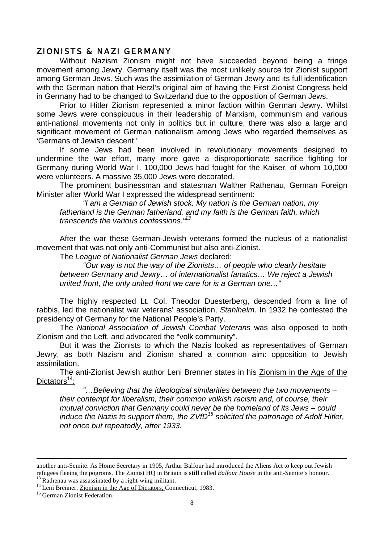## ZIONISTS & NAZI GERMANY

 Without Nazism Zionism might not have succeeded beyond being a fringe movement among Jewry. Germany itself was the most unlikely source for Zionist support among German Jews. Such was the assimilation of German Jewry and its full identification with the German nation that Herzl's original aim of having the First Zionist Congress held in Germany had to be changed to Switzerland due to the opposition of German Jews.

 Prior to Hitler Zionism represented a minor faction within German Jewry. Whilst some Jews were conspicuous in their leadership of Marxism, communism and various anti-national movements not only in politics but in culture, there was also a large and significant movement of German nationalism among Jews who regarded themselves as 'Germans of Jewish descent.'

 If some Jews had been involved in revolutionary movements designed to undermine the war effort, many more gave a disproportionate sacrifice fighting for Germany during World War I. 100,000 Jews had fought for the Kaiser, of whom 10,000 were volunteers. A massive 35,000 Jews were decorated.

 The prominent businessman and statesman Walther Rathenau, German Foreign Minister after World War I expressed the widespread sentiment:

*"I am a German of Jewish stock. My nation is the German nation, my fatherland is the German fatherland, and my faith is the German faith, which transcends the various confessions."13*

After the war these German-Jewish veterans formed the nucleus of a nationalist movement that was not only anti-Communist but also anti-Zionist.

The *League of Nationalist German Jews* declared:

*"Our way is not the way of the Zionists… of people who clearly hesitate between Germany and Jewry… of internationalist fanatics… We reject a Jewish united front, the only united front we care for is a German one…"* 

 The highly respected Lt. Col. Theodor Duesterberg, descended from a line of rabbis, led the nationalist war veterans' association, *Stahlhelm*. In 1932 he contested the presidency of Germany for the National People's Party.

 The *National Association of Jewish Combat Veterans* was also opposed to both Zionism and the Left, and advocated the "volk community".

 But it was the Zionists to which the Nazis looked as representatives of German Jewry, as both Nazism and Zionism shared a common aim: opposition to Jewish assimilation.

 The anti-Zionist Jewish author Leni Brenner states in his Zionism in the Age of the Dictators<sup>14</sup>:

*"…Believing that the ideological similarities between the two movements – their contempt for liberalism, their common volkish racism and, of course, their mutual conviction that Germany could never be the homeland of its Jews – could induce the Nazis to support them, the ZVfD15 solicited the patronage of Adolf Hitler, not once but repeatedly, after 1933.* 

another anti-Semite. As Home Secretary in 1905, Arthur Balfour had introduced the Aliens Act to keep out Jewish refugees fleeing the pogroms. The Zionist HQ in Britain is **still** called *Balfour House* in the anti-Semite's honour. 13 Rathenau was assassinated by a right-wing militant.

<sup>&</sup>lt;sup>14</sup> Leni Brenner, <u>Zionism in the Age of Dictators, Connecticut, 1983.</u><br><sup>15</sup> German Zionist Federation.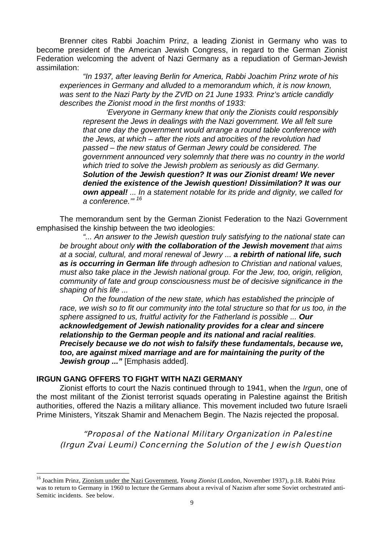Brenner cites Rabbi Joachim Prinz, a leading Zionist in Germany who was to become president of the American Jewish Congress, in regard to the German Zionist Federation welcoming the advent of Nazi Germany as a repudiation of German-Jewish assimilation:

*"In 1937, after leaving Berlin for America, Rabbi Joachim Prinz wrote of his experiences in Germany and alluded to a memorandum which, it is now known, was sent to the Nazi Party by the ZVfD on 21 June 1933. Prinz's article candidly describes the Zionist mood in the first months of 1933:* 

*'Everyone in Germany knew that only the Zionists could responsibly represent the Jews in dealings with the Nazi government. We all felt sure that one day the government would arrange a round table conference with the Jews, at which – after the riots and atrocities of the revolution had passed – the new status of German Jewry could be considered. The government announced very solemnly that there was no country in the world which tried to solve the Jewish problem as seriously as did Germany. Solution of the Jewish question? It was our Zionist dream! We never denied the existence of the Jewish question! Dissimilation? It was our own appeal! ... In a statement notable for its pride and dignity, we called for a conference.'" 16*

The memorandum sent by the German Zionist Federation to the Nazi Government emphasised the kinship between the two ideologies:

*"... An answer to the Jewish question truly satisfying to the national state can be brought about only with the collaboration of the Jewish movement that aims at a social, cultural, and moral renewal of Jewry ... a rebirth of national life, such as is occurring in German life through adhesion to Christian and national values, must also take place in the Jewish national group. For the Jew, too, origin, religion, community of fate and group consciousness must be of decisive significance in the shaping of his life ...* 

*On the foundation of the new state, which has established the principle of*  race, we wish so to fit our community into the total structure so that for us too, in the *sphere assigned to us, fruitful activity for the Fatherland is possible ... Our acknowledgement of Jewish nationality provides for a clear and sincere relationship to the German people and its national and racial realities. Precisely because we do not wish to falsify these fundamentals, because we, too, are against mixed marriage and are for maintaining the purity of the Jewish group ..."* [Emphasis added].

#### **IRGUN GANG OFFERS TO FIGHT WITH NAZI GERMANY**

1

 Zionist efforts to court the Nazis continued through to 1941, when the *Irgun*, one of the most militant of the Zionist terrorist squads operating in Palestine against the British authorities, offered the Nazis a military alliance. This movement included two future Israeli Prime Ministers, Yitszak Shamir and Menachem Begin. The Nazis rejected the proposal.

## "Proposal of the National Military Organization in Palestine (Irgun Zvai Leumi) Concerning the Solution of the Jewish Question

<sup>16</sup> Joachim Prinz, Zionism under the Nazi Government, *Young Zionist* (London, November 1937), p.18. Rabbi Prinz was to return to Germany in 1960 to lecture the Germans about a revival of Nazism after some Soviet orchestrated anti-Semitic incidents. See below.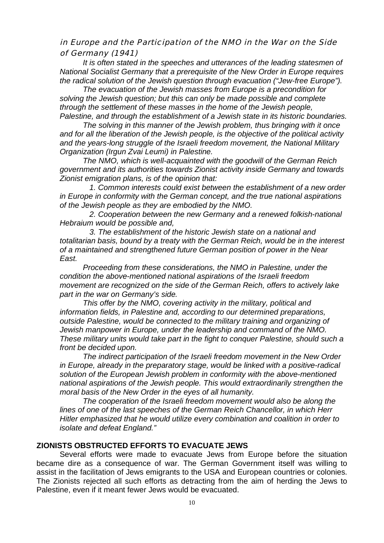in Europe and the Participation of the NMO in the War on the Side of Germany (1941)

*It is often stated in the speeches and utterances of the leading statesmen of National Socialist Germany that a prerequisite of the New Order in Europe requires the radical solution of the Jewish question through evacuation ("Jew-free Europe").* 

*The evacuation of the Jewish masses from Europe is a precondition for solving the Jewish question; but this can only be made possible and complete through the settlement of these masses in the home of the Jewish people, Palestine, and through the establishment of a Jewish state in its historic boundaries.* 

*The solving in this manner of the Jewish problem, thus bringing with it once and for all the liberation of the Jewish people, is the objective of the political activity and the years-long struggle of the Israeli freedom movement, the National Military Organization (Irgun Zvai Leumi) in Palestine.* 

*The NMO, which is well-acquainted with the goodwill of the German Reich government and its authorities towards Zionist activity inside Germany and towards Zionist emigration plans, is of the opinion that:* 

 *1. Common interests could exist between the establishment of a new order in Europe in conformity with the German concept, and the true national aspirations of the Jewish people as they are embodied by the NMO.* 

 *2. Cooperation between the new Germany and a renewed folkish-national Hebraium would be possible and,* 

 *3. The establishment of the historic Jewish state on a national and totalitarian basis, bound by a treaty with the German Reich, would be in the interest of a maintained and strengthened future German position of power in the Near East.* 

*Proceeding from these considerations, the NMO in Palestine, under the condition the above-mentioned national aspirations of the Israeli freedom movement are recognized on the side of the German Reich, offers to actively lake part in the war on Germany's side.* 

*This offer by the NMO, covering activity in the military, political and information fields, in Palestine and, according to our determined preparations, outside Palestine, would be connected to the military training and organizing of Jewish manpower in Europe, under the leadership and command of the NMO. These military units would take part in the fight to conquer Palestine, should such a front be decided upon.* 

*The indirect participation of the Israeli freedom movement in the New Order in Europe, already in the preparatory stage, would be linked with a positive-radical solution of the European Jewish problem in conformity with the above-mentioned national aspirations of the Jewish people. This would extraordinarily strengthen the moral basis of the New Order in the eyes of all humanity.* 

*The cooperation of the Israeli freedom movement would also be along the lines of one of the last speeches of the German Reich Chancellor, in which Herr Hitler emphasized that he would utilize every combination and coalition in order to isolate and defeat England."*

#### **ZIONISTS OBSTRUCTED EFFORTS TO EVACUATE JEWS**

 Several efforts were made to evacuate Jews from Europe before the situation became dire as a consequence of war. The German Government itself was willing to assist in the facilitation of Jews emigrants to the USA and European countries or colonies. The Zionists rejected all such efforts as detracting from the aim of herding the Jews to Palestine, even if it meant fewer Jews would be evacuated.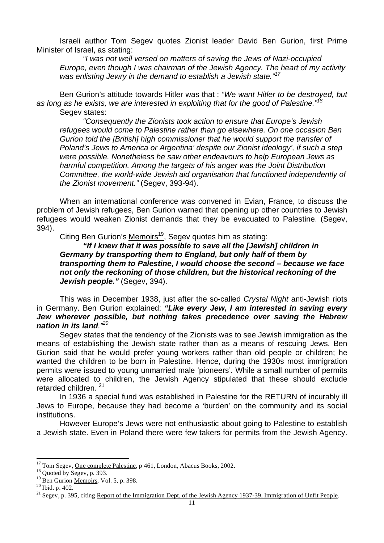Israeli author Tom Segev quotes Zionist leader David Ben Gurion, first Prime Minister of Israel, as stating:

*"I was not well versed on matters of saving the Jews of Nazi-occupied Europe, even though I was chairman of the Jewish Agency. The heart of my activity was enlisting Jewry in the demand to establish a Jewish state."17*

Ben Gurion's attitude towards Hitler was that : *"We want Hitler to be destroyed, but as long as he exists, we are interested in exploiting that for the good of Palestine."18* Segev states:

*"Consequently the Zionists took action to ensure that Europe's Jewish refugees would come to Palestine rather than go elsewhere. On one occasion Ben Gurion told the [British] high commissioner that he would support the transfer of Poland's Jews to America or Argentina' despite our Zionist ideology', if such a step were possible. Nonetheless he saw other endeavours to help European Jews as harmful competition. Among the targets of his anger was the Joint Distribution Committee, the world-wide Jewish aid organisation that functioned independently of the Zionist movement."* (Segev, 393-94).

When an international conference was convened in Evian, France, to discuss the problem of Jewish refugees, Ben Gurion warned that opening up other countries to Jewish refugees would weaken Zionist demands that they be evacuated to Palestine. (Segev, 394).

Citing Ben Gurion's Memoirs<sup>19</sup>, Segev quotes him as stating:

*"If I knew that it was possible to save all the [Jewish] children in Germany by transporting them to England, but only half of them by transporting them to Palestine, I would choose the second – because we face not only the reckoning of those children, but the historical reckoning of the*  Jewish people." (Segev, 394).

 This was in December 1938, just after the so-called *Crystal Night* anti-Jewish riots in Germany. Ben Gurion explained: *"Like every Jew, I am interested in saving every Jew wherever possible, but nothing takes precedence over saving the Hebrew nation in its land."20*

 Segev states that the tendency of the Zionists was to see Jewish immigration as the means of establishing the Jewish state rather than as a means of rescuing Jews. Ben Gurion said that he would prefer young workers rather than old people or children; he wanted the children to be born in Palestine. Hence, during the 1930s most immigration permits were issued to young unmarried male 'pioneers'. While a small number of permits were allocated to children, the Jewish Agency stipulated that these should exclude retarded children. 21

 In 1936 a special fund was established in Palestine for the RETURN of incurably ill Jews to Europe, because they had become a 'burden' on the community and its social institutions.

 However Europe's Jews were not enthusiastic about going to Palestine to establish a Jewish state. Even in Poland there were few takers for permits from the Jewish Agency.

1

<sup>&</sup>lt;sup>17</sup> Tom Segev, <u>One complete Palestine</u>, p 461, London, Abacus Books, 2002. <sup>18</sup> Quoted by Segev, p. 393.

<sup>&</sup>lt;sup>18</sup> Quoted by Segev, p. 393.<br><sup>19</sup> Ben Gurion <u>Memoirs</u>, Vol. 5, p. 398.<br><sup>20</sup> Ibid. p. 402.

 $21$  Segev, p. 395, citing Report of the Immigration Dept. of the Jewish Agency 1937-39, Immigration of Unfit People.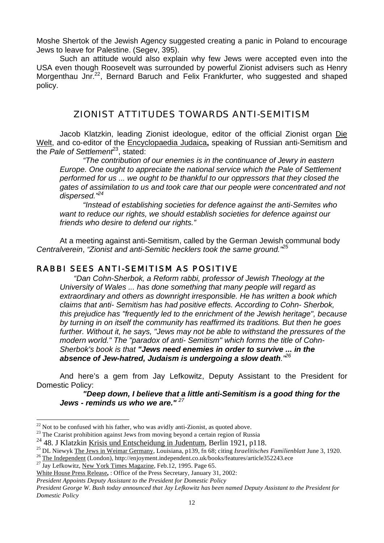Moshe Shertok of the Jewish Agency suggested creating a panic in Poland to encourage Jews to leave for Palestine. (Segev, 395).

 Such an attitude would also explain why few Jews were accepted even into the USA even though Roosevelt was surrounded by powerful Zionist advisers such as Henry Morgenthau Jnr.<sup>22</sup>, Bernard Baruch and Felix Frankfurter, who suggested and shaped policy.

## ZIONIST ATTITUDES TOWARDS ANTI-SEMITISM

Jacob Klatzkin, leading Zionist ideologue, editor of the official Zionist organ Die Welt, and co-editor of the Encyclopaedia Judaica**,** speaking of Russian anti-Semitism and the *Pale of Settlement*<sup>23</sup>, stated:

*"The contribution of our enemies is in the continuance of Jewry in eastern Europe. One ought to appreciate the national service which the Pale of Settlement performed for us ... we ought to be thankful to our oppressors that they closed the gates of assimilation to us and took care that our people were concentrated and not dispersed."24*

*"Instead of establishing societies for defence against the anti-Semites who want to reduce our rights, we should establish societies for defence against our friends who desire to defend our rights."* 

At a meeting against anti-Semitism, called by the German Jewish communal body *Centralverein*, *"Zionist and anti-Semitic hecklers took the same ground."25*

## RABBI SEES ANTI-SEMITISM AS POSITIVE

*"Dan Cohn-Sherbok, a Reform rabbi, professor of Jewish Theology at the University of Wales ... has done something that many people will regard as extraordinary and others as downright irresponsible. He has written a book which claims that anti- Semitism has had positive effects. According to Cohn- Sherbok, this prejudice has "frequently led to the enrichment of the Jewish heritage", because by turning in on itself the community has reaffirmed its traditions. But then he goes further. Without it, he says, "Jews may not be able to withstand the pressures of the modern world." The "paradox of anti- Semitism" which forms the title of Cohn-Sherbok's book is that "Jews need enemies in order to survive ... in the absence of Jew-hatred, Judaism is undergoing a slow death."26*

 And here's a gem from Jay Lefkowitz, Deputy Assistant to the President for Domestic Policy:

*"Deep down, I believe that a little anti-Semitism is a good thing for the Jews - reminds us who we are." <sup>27</sup>*

<u>.</u>

 $^{22}$  Not to be confused with his father, who was avidly anti-Zionist, as quoted above.

<sup>&</sup>lt;sup>23</sup> The Czarist prohibition against Jews from moving beyond a certain region of Russia

<sup>&</sup>lt;sup>24</sup> 48. J Klatzkin <u>Krisis und Entscheidung in Judentum</u>, Berlin 1921, p118.<br><sup>25</sup> DL Niewyk <u>The Jews in Weimar Germany</u>, Louisiana, p139, fn 68; citing *Israelitisches Familienblatt* June 3, 1920.<br><sup>26</sup> The Independent (

White House Press Release**,** : Office of the Press Secretary, January 31, 2002:

*President Appoints Deputy Assistant to the President for Domestic Policy* 

*President George W. Bush today announced that Jay Lefkowitz has been named Deputy Assistant to the President for Domestic Policy*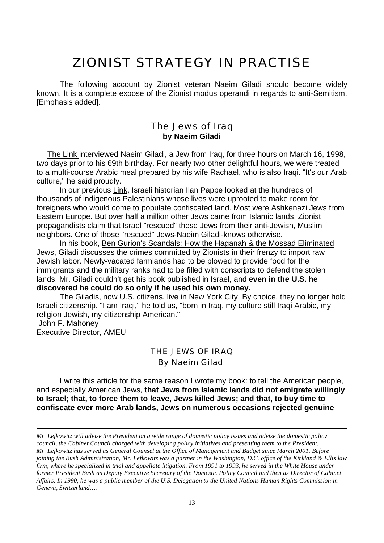## ZIONIST STRATEGY IN PRACTISE

The following account by Zionist veteran Naeim Giladi should become widely known. It is a complete expose of the Zionist modus operandi in regards to anti-Semitism. [Emphasis added].

## The Jews of Iraq **by Naeim Giladi**

 The Link interviewed Naeim Giladi, a Jew from Iraq, for three hours on March 16, 1998, two days prior to his 69th birthday. For nearly two other delightful hours, we were treated to a multi-course Arabic meal prepared by his wife Rachael, who is also Iraqi. "It's our Arab culture," he said proudly.

In our previous Link, Israeli historian Ilan Pappe looked at the hundreds of thousands of indigenous Palestinians whose lives were uprooted to make room for foreigners who would come to populate confiscated land. Most were Ashkenazi Jews from Eastern Europe. But over half a million other Jews came from Islamic lands. Zionist propagandists claim that Israel "rescued" these Jews from their anti-Jewish, Muslim neighbors. One of those "rescued" Jews-Naeim Giladi-knows otherwise.

In his book, Ben Gurion's Scandals: How the Haganah & the Mossad Eliminated Jews, Giladi discusses the crimes committed by Zionists in their frenzy to import raw Jewish labor. Newly-vacated farmlands had to be plowed to provide food for the immigrants and the military ranks had to be filled with conscripts to defend the stolen lands. Mr. Giladi couldn't get his book published in Israel, and **even in the U.S. he discovered he could do so only if he used his own money.**

The Giladis, now U.S. citizens, live in New York City. By choice, they no longer hold Israeli citizenship. "I am Iraqi," he told us, "born in Iraq, my culture still Iraqi Arabic, my religion Jewish, my citizenship American."

John F. Mahoney

1

Executive Director, AMEU

## THE JEWS OF IRAQ By Naeim Giladi

I write this article for the same reason I wrote my book: to tell the American people, and especially American Jews, **that Jews from Islamic lands did not emigrate willingly to Israel; that, to force them to leave, Jews killed Jews; and that, to buy time to confiscate ever more Arab lands, Jews on numerous occasions rejected genuine** 

*Mr. Lefkowitz will advise the President on a wide range of domestic policy issues and advise the domestic policy council, the Cabinet Council charged with developing policy initiatives and presenting them to the President. Mr. Lefkowitz has served as General Counsel at the Office of Management and Budget since March 2001. Before joining the Bush Administration, Mr. Lefkowitz was a partner in the Washington, D.C. office of the Kirkland & Ellis law firm, where he specialized in trial and appellate litigation. From 1991 to 1993, he served in the White House under former President Bush as Deputy Executive Secretary of the Domestic Policy Council and then as Director of Cabinet Affairs. In 1990, he was a public member of the U.S. Delegation to the United Nations Human Rights Commission in Geneva, Switzerland….*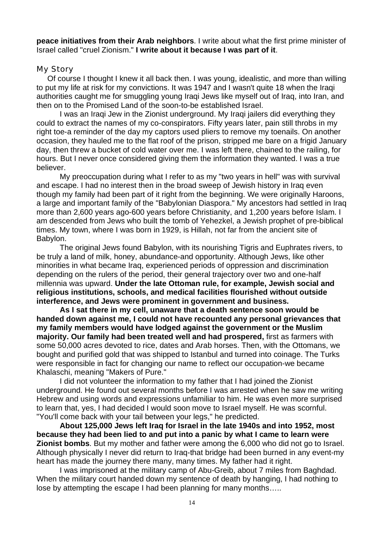**peace initiatives from their Arab neighbors**. I write about what the first prime minister of Israel called "cruel Zionism." **I write about it because I was part of it**.

#### My Story

 Of course I thought I knew it all back then. I was young, idealistic, and more than willing to put my life at risk for my convictions. It was 1947 and I wasn't quite 18 when the Iraqi authorities caught me for smuggling young Iragi Jews like myself out of Irag, into Iran, and then on to the Promised Land of the soon-to-be established Israel.

I was an Iraqi Jew in the Zionist underground. My Iraqi jailers did everything they could to extract the names of my co-conspirators. Fifty years later, pain still throbs in my right toe-a reminder of the day my captors used pliers to remove my toenails. On another occasion, they hauled me to the flat roof of the prison, stripped me bare on a frigid January day, then threw a bucket of cold water over me. I was left there, chained to the railing, for hours. But I never once considered giving them the information they wanted. I was a true believer.

My preoccupation during what I refer to as my "two years in hell" was with survival and escape. I had no interest then in the broad sweep of Jewish history in Iraq even though my family had been part of it right from the beginning. We were originally Haroons, a large and important family of the "Babylonian Diaspora." My ancestors had settled in Iraq more than 2,600 years ago-600 years before Christianity, and 1,200 years before Islam. I am descended from Jews who built the tomb of Yehezkel, a Jewish prophet of pre-biblical times. My town, where I was born in 1929, is Hillah, not far from the ancient site of Babylon.

The original Jews found Babylon, with its nourishing Tigris and Euphrates rivers, to be truly a land of milk, honey, abundance-and opportunity. Although Jews, like other minorities in what became Iraq, experienced periods of oppression and discrimination depending on the rulers of the period, their general trajectory over two and one-half millennia was upward. **Under the late Ottoman rule, for example, Jewish social and religious institutions, schools, and medical facilities flourished without outside interference, and Jews were prominent in government and business.**

**As I sat there in my cell, unaware that a death sentence soon would be handed down against me, I could not have recounted any personal grievances that my family members would have lodged against the government or the Muslim majority. Our family had been treated well and had prospered,** first as farmers with some 50,000 acres devoted to rice, dates and Arab horses. Then, with the Ottomans, we bought and purified gold that was shipped to Istanbul and turned into coinage. The Turks were responsible in fact for changing our name to reflect our occupation-we became Khalaschi, meaning "Makers of Pure."

I did not volunteer the information to my father that I had joined the Zionist underground. He found out several months before I was arrested when he saw me writing Hebrew and using words and expressions unfamiliar to him. He was even more surprised to learn that, yes, I had decided I would soon move to Israel myself. He was scornful. "You'll come back with your tail between your legs," he predicted.

**About 125,000 Jews left Iraq for Israel in the late 1940s and into 1952, most because they had been lied to and put into a panic by what I came to learn were Zionist bombs**. But my mother and father were among the 6,000 who did not go to Israel. Although physically I never did return to Iraq-that bridge had been burned in any event-my heart has made the journey there many, many times. My father had it right.

I was imprisoned at the military camp of Abu-Greib, about 7 miles from Baghdad. When the military court handed down my sentence of death by hanging, I had nothing to lose by attempting the escape I had been planning for many months…..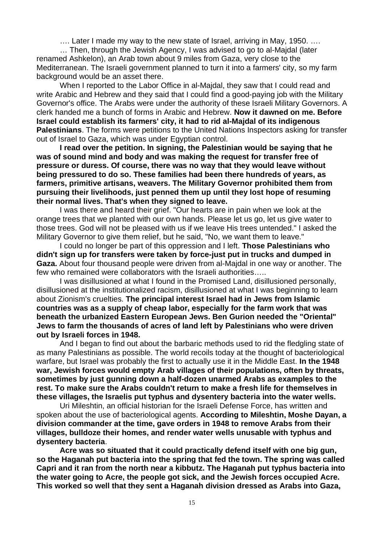…. Later I made my way to the new state of Israel, arriving in May, 1950. ….

… Then, through the Jewish Agency, I was advised to go to al-Majdal (later renamed Ashkelon), an Arab town about 9 miles from Gaza, very close to the Mediterranean. The Israeli government planned to turn it into a farmers' city, so my farm background would be an asset there.

When I reported to the Labor Office in al-Maidal, they saw that I could read and write Arabic and Hebrew and they said that I could find a good-paying job with the Military Governor's office. The Arabs were under the authority of these Israeli Military Governors. A clerk handed me a bunch of forms in Arabic and Hebrew. **Now it dawned on me. Before Israel could establish its farmers' city, it had to rid al-Majdal of its indigenous Palestinians**. The forms were petitions to the United Nations Inspectors asking for transfer out of Israel to Gaza, which was under Egyptian control.

**I read over the petition. In signing, the Palestinian would be saying that he was of sound mind and body and was making the request for transfer free of pressure or duress. Of course, there was no way that they would leave without being pressured to do so. These families had been there hundreds of years, as farmers, primitive artisans, weavers. The Military Governor prohibited them from pursuing their livelihoods, just penned them up until they lost hope of resuming their normal lives. That's when they signed to leave.** 

I was there and heard their grief. "Our hearts are in pain when we look at the orange trees that we planted with our own hands. Please let us go, let us give water to those trees. God will not be pleased with us if we leave His trees untended." I asked the Military Governor to give them relief, but he said, "No, we want them to leave."

I could no longer be part of this oppression and I left. **Those Palestinians who didn't sign up for transfers were taken by force-just put in trucks and dumped in Gaza.** About four thousand people were driven from al-Majdal in one way or another. The few who remained were collaborators with the Israeli authorities.....

I was disillusioned at what I found in the Promised Land, disillusioned personally, disillusioned at the institutionalized racism, disillusioned at what I was beginning to learn about Zionism's cruelties. **The principal interest Israel had in Jews from Islamic countries was as a supply of cheap labor, especially for the farm work that was beneath the urbanized Eastern European Jews. Ben Gurion needed the "Oriental" Jews to farm the thousands of acres of land left by Palestinians who were driven out by Israeli forces in 1948.**

And I began to find out about the barbaric methods used to rid the fledgling state of as many Palestinians as possible. The world recoils today at the thought of bacteriological warfare, but Israel was probably the first to actually use it in the Middle East. **In the 1948 war, Jewish forces would empty Arab villages of their populations, often by threats, sometimes by just gunning down a half-dozen unarmed Arabs as examples to the rest. To make sure the Arabs couldn't return to make a fresh life for themselves in these villages, the Israelis put typhus and dysentery bacteria into the water wells.**

Uri Mileshtin, an official historian for the Israeli Defense Force, has written and spoken about the use of bacteriological agents. **According to Mileshtin, Moshe Dayan, a division commander at the time, gave orders in 1948 to remove Arabs from their villages, bulldoze their homes, and render water wells unusable with typhus and dysentery bacteria**.

**Acre was so situated that it could practically defend itself with one big gun, so the Haganah put bacteria into the spring that fed the town. The spring was called Capri and it ran from the north near a kibbutz. The Haganah put typhus bacteria into the water going to Acre, the people got sick, and the Jewish forces occupied Acre. This worked so well that they sent a Haganah division dressed as Arabs into Gaza,**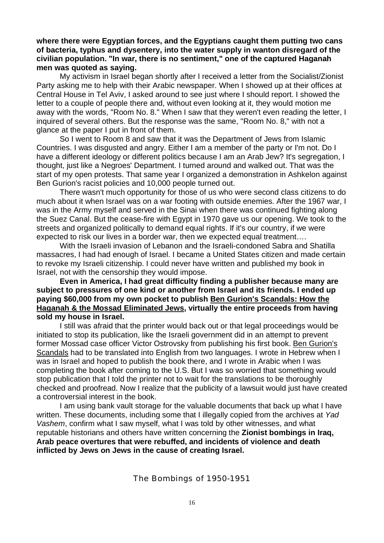#### **where there were Egyptian forces, and the Egyptians caught them putting two cans of bacteria, typhus and dysentery, into the water supply in wanton disregard of the civilian population. "In war, there is no sentiment," one of the captured Haganah men was quoted as saying.**

My activism in Israel began shortly after I received a letter from the Socialist/Zionist Party asking me to help with their Arabic newspaper. When I showed up at their offices at Central House in Tel Aviv, I asked around to see just where I should report. I showed the letter to a couple of people there and, without even looking at it, they would motion me away with the words, "Room No. 8." When I saw that they weren't even reading the letter, I inquired of several others. But the response was the same, "Room No. 8," with not a glance at the paper I put in front of them.

So I went to Room 8 and saw that it was the Department of Jews from Islamic Countries. I was disgusted and angry. Either I am a member of the party or I'm not. Do I have a different ideology or different politics because I am an Arab Jew? It's segregation, I thought, just like a Negroes' Department. I turned around and walked out. That was the start of my open protests. That same year I organized a demonstration in Ashkelon against Ben Gurion's racist policies and 10,000 people turned out.

There wasn't much opportunity for those of us who were second class citizens to do much about it when Israel was on a war footing with outside enemies. After the 1967 war, I was in the Army myself and served in the Sinai when there was continued fighting along the Suez Canal. But the cease-fire with Egypt in 1970 gave us our opening. We took to the streets and organized politically to demand equal rights. If it's our country, if we were expected to risk our lives in a border war, then we expected equal treatment….

With the Israeli invasion of Lebanon and the Israeli-condoned Sabra and Shatilla massacres, I had had enough of Israel. I became a United States citizen and made certain to revoke my Israeli citizenship. I could never have written and published my book in Israel, not with the censorship they would impose.

#### **Even in America, I had great difficulty finding a publisher because many are subject to pressures of one kind or another from Israel and its friends. I ended up paying \$60,000 from my own pocket to publish Ben Gurion's Scandals: How the Haganah & the Mossad Eliminated Jews, virtually the entire proceeds from having sold my house in Israel.**

I still was afraid that the printer would back out or that legal proceedings would be initiated to stop its publication, like the Israeli government did in an attempt to prevent former Mossad case officer Victor Ostrovsky from publishing his first book. Ben Gurion's Scandals had to be translated into English from two languages. I wrote in Hebrew when I was in Israel and hoped to publish the book there, and I wrote in Arabic when I was completing the book after coming to the U.S. But I was so worried that something would stop publication that I told the printer not to wait for the translations to be thoroughly checked and proofread. Now I realize that the publicity of a lawsuit would just have created a controversial interest in the book.

I am using bank vault storage for the valuable documents that back up what I have written. These documents, including some that I illegally copied from the archives at *Yad Vashem*, confirm what I saw myself, what I was told by other witnesses, and what reputable historians and others have written concerning the **Zionist bombings in Iraq, Arab peace overtures that were rebuffed, and incidents of violence and death inflicted by Jews on Jews in the cause of creating Israel.**

The Bombings of 1950-1951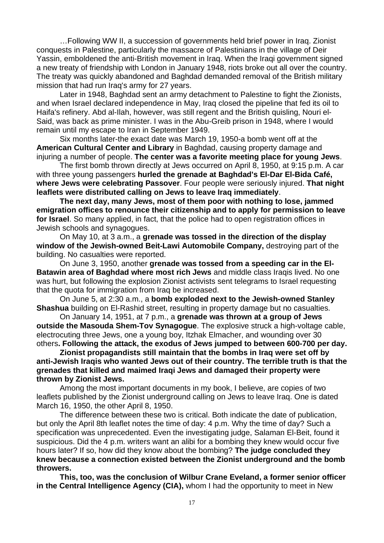…Following WW II, a succession of governments held brief power in Iraq. Zionist conquests in Palestine, particularly the massacre of Palestinians in the village of Deir Yassin, emboldened the anti-British movement in Iraq. When the Iraqi government signed a new treaty of friendship with London in January 1948, riots broke out all over the country. The treaty was quickly abandoned and Baghdad demanded removal of the British military mission that had run Iraq's army for 27 years.

Later in 1948, Baghdad sent an army detachment to Palestine to fight the Zionists, and when Israel declared independence in May, Iraq closed the pipeline that fed its oil to Haifa's refinery. Abd al-Ilah, however, was still regent and the British quisling, Nouri el-Said, was back as prime minister. I was in the Abu-Greib prison in 1948, where I would remain until my escape to Iran in September 1949.

Six months later-the exact date was March 19, 1950-a bomb went off at the **American Cultural Center and Library** in Baghdad, causing property damage and injuring a number of people. **The center was a favorite meeting place for young Jews**.

The first bomb thrown directly at Jews occurred on April 8, 1950, at 9:15 p.m. A car with three young passengers **hurled the grenade at Baghdad's El-Dar El-Bida Café, where Jews were celebrating Passover**. Four people were seriously injured. **That night leaflets were distributed calling on Jews to leave Iraq immediately**.

**The next day, many Jews, most of them poor with nothing to lose, jammed emigration offices to renounce their citizenship and to apply for permission to leave for Israel**. So many applied, in fact, that the police had to open registration offices in Jewish schools and synagogues.

On May 10, at 3 a.m., a **grenade was tossed in the direction of the display window of the Jewish-owned Beit-Lawi Automobile Company,** destroying part of the building. No casualties were reported.

On June 3, 1950, another **grenade was tossed from a speeding car in the El-Batawin area of Baghdad where most rich Jews** and middle class Iraqis lived. No one was hurt, but following the explosion Zionist activists sent telegrams to Israel requesting that the quota for immigration from Iraq be increased.

On June 5, at 2:30 a.m., a **bomb exploded next to the Jewish-owned Stanley Shashua** building on El-Rashid street, resulting in property damage but no casualties.

On January 14, 1951, at 7 p.m., a **grenade was thrown at a group of Jews outside the Masouda Shem-Tov Synagogue**. The explosive struck a high-voltage cable, electrocuting three Jews, one a young boy, Itzhak Elmacher, and wounding over 30 others**. Following the attack, the exodus of Jews jumped to between 600-700 per day.** 

**Zionist propagandists still maintain that the bombs in Iraq were set off by anti-Jewish Iraqis who wanted Jews out of their country. The terrible truth is that the grenades that killed and maimed Iraqi Jews and damaged their property were thrown by Zionist Jews.** 

Among the most important documents in my book, I believe, are copies of two leaflets published by the Zionist underground calling on Jews to leave Iraq. One is dated March 16, 1950, the other April 8, 1950.

The difference between these two is critical. Both indicate the date of publication, but only the April 8th leaflet notes the time of day: 4 p.m. Why the time of day? Such a specification was unprecedented. Even the investigating judge, Salaman El-Beit, found it suspicious. Did the 4 p.m. writers want an alibi for a bombing they knew would occur five hours later? If so, how did they know about the bombing? **The judge concluded they knew because a connection existed between the Zionist underground and the bomb throwers.**

**This, too, was the conclusion of Wilbur Crane Eveland, a former senior officer in the Central Intelligence Agency (CIA),** whom I had the opportunity to meet in New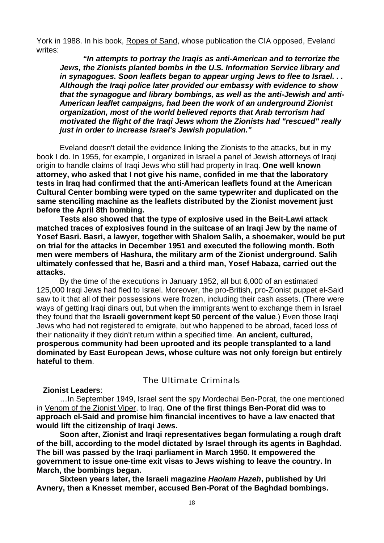York in 1988. In his book, Ropes of Sand, whose publication the CIA opposed, Eveland writes:

*"In attempts to portray the Iraqis as anti-American and to terrorize the Jews, the Zionists planted bombs in the U.S. Information Service library and in synagogues. Soon leaflets began to appear urging Jews to flee to Israel. . . Although the Iraqi police later provided our embassy with evidence to show that the synagogue and library bombings, as well as the anti-Jewish and anti-American leaflet campaigns, had been the work of an underground Zionist organization, most of the world believed reports that Arab terrorism had motivated the flight of the Iraqi Jews whom the Zionists had "rescued" really just in order to increase Israel's Jewish population."* 

Eveland doesn't detail the evidence linking the Zionists to the attacks, but in my book I do. In 1955, for example, I organized in Israel a panel of Jewish attorneys of Iraqi origin to handle claims of Iraqi Jews who still had property in Iraq. **One well known attorney, who asked that I not give his name, confided in me that the laboratory tests in Iraq had confirmed that the anti-American leaflets found at the American Cultural Center bombing were typed on the same typewriter and duplicated on the same stenciling machine as the leaflets distributed by the Zionist movement just before the April 8th bombing.**

**Tests also showed that the type of explosive used in the Beit-Lawi attack matched traces of explosives found in the suitcase of an Iraqi Jew by the name of Yosef Basri. Basri, a lawyer, together with Shalom Salih, a shoemaker, would be put on trial for the attacks in December 1951 and executed the following month. Both men were members of Hashura, the military arm of the Zionist underground**. **Salih ultimately confessed that he, Basri and a third man, Yosef Habaza, carried out the attacks.**

By the time of the executions in January 1952, all but 6,000 of an estimated 125,000 Iraqi Jews had fled to Israel. Moreover, the pro-British, pro-Zionist puppet el-Said saw to it that all of their possessions were frozen, including their cash assets. (There were ways of getting Iraqi dinars out, but when the immigrants went to exchange them in Israel they found that the **Israeli government kept 50 percent of the value**.) Even those Iraqi Jews who had not registered to emigrate, but who happened to be abroad, faced loss of their nationality if they didn't return within a specified time. **An ancient, cultured, prosperous community had been uprooted and its people transplanted to a land dominated by East European Jews, whose culture was not only foreign but entirely hateful to them**.

#### The Ultimate Criminals

#### **Zionist Leaders**:

…In September 1949, Israel sent the spy Mordechai Ben-Porat, the one mentioned in Venom of the Zionist Viper, to Iraq. **One of the first things Ben-Porat did was to approach el-Said and promise him financial incentives to have a law enacted that would lift the citizenship of Iraqi Jews.**

**Soon after, Zionist and Iraqi representatives began formulating a rough draft of the bill, according to the model dictated by Israel through its agents in Baghdad. The bill was passed by the Iraqi parliament in March 1950. It empowered the government to issue one-time exit visas to Jews wishing to leave the country. In March, the bombings began.** 

**Sixteen years later, the Israeli magazine** *Haolam Hazeh***, published by Uri Avnery, then a Knesset member, accused Ben-Porat of the Baghdad bombings.**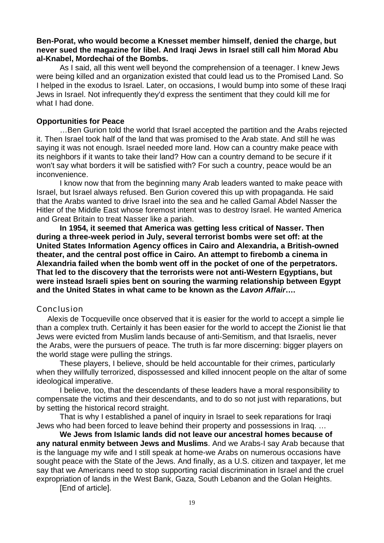#### **Ben-Porat, who would become a Knesset member himself, denied the charge, but never sued the magazine for libel. And Iraqi Jews in Israel still call him Morad Abu al-Knabel, Mordechai of the Bombs.**

As I said, all this went well beyond the comprehension of a teenager. I knew Jews were being killed and an organization existed that could lead us to the Promised Land. So I helped in the exodus to Israel. Later, on occasions, I would bump into some of these Iraqi Jews in Israel. Not infrequently they'd express the sentiment that they could kill me for what I had done.

#### **Opportunities for Peace**

…Ben Gurion told the world that Israel accepted the partition and the Arabs rejected it. Then Israel took half of the land that was promised to the Arab state. And still he was saying it was not enough. Israel needed more land. How can a country make peace with its neighbors if it wants to take their land? How can a country demand to be secure if it won't say what borders it will be satisfied with? For such a country, peace would be an inconvenience.

I know now that from the beginning many Arab leaders wanted to make peace with Israel, but Israel always refused. Ben Gurion covered this up with propaganda. He said that the Arabs wanted to drive Israel into the sea and he called Gamal Abdel Nasser the Hitler of the Middle East whose foremost intent was to destroy Israel. He wanted America and Great Britain to treat Nasser like a pariah.

**In 1954, it seemed that America was getting less critical of Nasser. Then during a three-week period in July, several terrorist bombs were set off: at the United States Information Agency offices in Cairo and Alexandria, a British-owned theater, and the central post office in Cairo. An attempt to firebomb a cinema in Alexandria failed when the bomb went off in the pocket of one of the perpetrators. That led to the discovery that the terrorists were not anti-Western Egyptians, but were instead Israeli spies bent on souring the warming relationship between Egypt and the United States in what came to be known as the** *Lavon Affair***….** 

#### **Conclusion**

 Alexis de Tocqueville once observed that it is easier for the world to accept a simple lie than a complex truth. Certainly it has been easier for the world to accept the Zionist lie that Jews were evicted from Muslim lands because of anti-Semitism, and that Israelis, never the Arabs, were the pursuers of peace. The truth is far more discerning: bigger players on the world stage were pulling the strings.

These players, I believe, should be held accountable for their crimes, particularly when they willfully terrorized, dispossessed and killed innocent people on the altar of some ideological imperative.

I believe, too, that the descendants of these leaders have a moral responsibility to compensate the victims and their descendants, and to do so not just with reparations, but by setting the historical record straight.

That is why I established a panel of inquiry in Israel to seek reparations for Iraqi Jews who had been forced to leave behind their property and possessions in Iraq. …

**We Jews from Islamic lands did not leave our ancestral homes because of any natural enmity between Jews and Muslims**. And we Arabs-I say Arab because that is the language my wife and I still speak at home-we Arabs on numerous occasions have sought peace with the State of the Jews. And finally, as a U.S. citizen and taxpayer, let me say that we Americans need to stop supporting racial discrimination in Israel and the cruel expropriation of lands in the West Bank, Gaza, South Lebanon and the Golan Heights.

[End of article].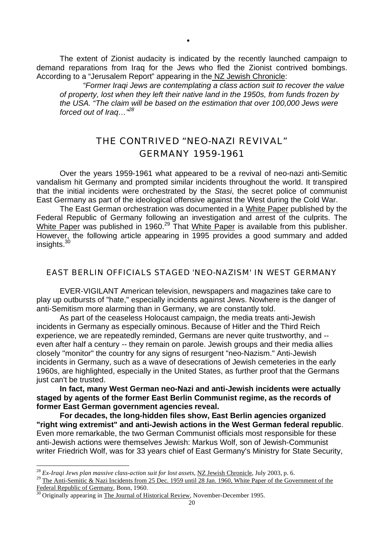The extent of Zionist audacity is indicated by the recently launched campaign to demand reparations from Iraq for the Jews who fled the Zionist contrived bombings. According to a "Jerusalem Report" appearing in the NZ Jewish Chronicle:

•

*"Former Iraqi Jews are contemplating a class action suit to recover the value of property, lost when they left their native land in the 1950s, from funds frozen by the USA. "The claim will be based on the estimation that over 100,000 Jews were forced out of Iraq…"28*

## THE CONTRIVED "NEO-NAZI REVIVAL" GERMANY 1959-1961

 Over the years 1959-1961 what appeared to be a revival of neo-nazi anti-Semitic vandalism hit Germany and prompted similar incidents throughout the world. It transpired that the initial incidents were orchestrated by the *Stasi*, the secret police of communist East Germany as part of the ideological offensive against the West during the Cold War.

 The East German orchestration was documented in a White Paper published by the Federal Republic of Germany following an investigation and arrest of the culprits. The White Paper was published in 1960.<sup>29</sup> That White Paper is available from this publisher. However, the following article appearing in 1995 provides a good summary and added insights. $30$ 

#### EAST BERLIN OFFICIALS STAGED 'NEO-NAZISM' IN WEST GERMANY

EVER-VIGILANT American television, newspapers and magazines take care to play up outbursts of "hate," especially incidents against Jews. Nowhere is the danger of anti-Semitism more alarming than in Germany, we are constantly told.

As part of the ceaseless Holocaust campaign, the media treats anti-Jewish incidents in Germany as especially ominous. Because of Hitler and the Third Reich experience, we are repeatedly reminded, Germans are never quite trustworthy, and - even after half a century -- they remain on parole. Jewish groups and their media allies closely "monitor" the country for any signs of resurgent "neo-Nazism." Anti-Jewish incidents in Germany, such as a wave of desecrations of Jewish cemeteries in the early 1960s, are highlighted, especially in the United States, as further proof that the Germans just can't be trusted.

**In fact, many West German neo-Nazi and anti-Jewish incidents were actually staged by agents of the former East Berlin Communist regime, as the records of former East German government agencies reveal.** 

**For decades, the long-hidden files show, East Berlin agencies organized "right wing extremist" and anti-Jewish actions in the West German federal republic**. Even more remarkable, the two German Communist officials most responsible for these anti-Jewish actions were themselves Jewish: Markus Wolf, son of Jewish-Communist writer Friedrich Wolf, was for 33 years chief of East Germany's Ministry for State Security,

<u>.</u>

<sup>&</sup>lt;sup>28</sup> Ex-Iraqi Jews plan massive class-action suit for lost assets, NZ Jewish Chronicle, July 2003, p. 6.

<sup>&</sup>lt;sup>29</sup> The Anti-Semitic & Nazi Incidents from 25 Dec. 1959 until 28 Jan. 1960, White Paper of the Government of the Federal Republic of Germany, Bonn, 1960.

 $\frac{30}{30}$  Originally appearing in The Journal of Historical Review, November-December 1995.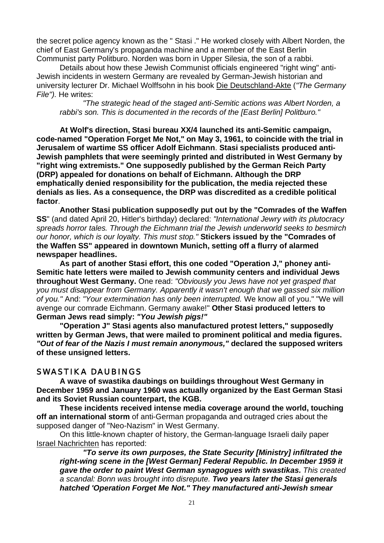the secret police agency known as the " Stasi ." He worked closely with Albert Norden, the chief of East Germany's propaganda machine and a member of the East Berlin Communist party Politburo. Norden was born in Upper Silesia, the son of a rabbi.

Details about how these Jewish Communist officials engineered "right wing" anti-Jewish incidents in western Germany are revealed by German-Jewish historian and university lecturer Dr. Michael Wolffsohn in his book Die Deutschland-Akte (*"The Germany File").* He writes:

*"The strategic head of the staged anti-Semitic actions was Albert Norden, a rabbi's son. This is documented in the records of the [East Berlin] Politburo."* 

**At Wolf's direction, Stasi bureau XX/4 launched its anti-Semitic campaign, code-named "Operation Forget Me Not," on May 3, 1961, to coincide with the trial in Jerusalem of wartime SS officer Adolf Eichmann**. **Stasi specialists produced anti-Jewish pamphlets that were seemingly printed and distributed in West Germany by "right wing extremists." One supposedly published by the German Reich Party (DRP) appealed for donations on behalf of Eichmann. Although the DRP emphatically denied responsibility for the publication, the media rejected these denials as lies. As a consequence, the DRP was discredited as a credible political factor**.

**Another Stasi publication supposedly put out by the "Comrades of the Waffen SS**" (and dated April 20, Hitler's birthday) declared: *"International Jewry with its plutocracy spreads horror tales. Through the Eichmann trial the Jewish underworld seeks to besmirch our honor, which is our loyalty. This must stop."* **Stickers issued by the "Comrades of the Waffen SS" appeared in downtown Munich, setting off a flurry of alarmed newspaper headlines.**

**As part of another Stasi effort, this one coded "Operation J," phoney anti-Semitic hate letters were mailed to Jewish community centers and individual Jews throughout West Germany.** One read: *"Obviously you Jews have not yet grasped that you must disappear from Germany. Apparently it wasn't enough that we gassed six million of you."* And: *"Your extermination has only been interrupted.* We know all of you." "We will avenge our comrade Eichmann. Germany awake!" **Other Stasi produced letters to German Jews read simply:** *"You Jewish pigs!"*

**"Operation J" Stasi agents also manufactured protest letters," supposedly written by German Jews, that were mailed to prominent political and media figures.**  *"Out of fear of the Nazis I must remain anonymous,"* **declared the supposed writers of these unsigned letters.** 

#### SWASTIKA DAUBINGS

**A wave of swastika daubings on buildings throughout West Germany in December 1959 and January 1960 was actually organized by the East German Stasi and its Soviet Russian counterpart, the KGB.** 

**These incidents received intense media coverage around the world, touching off an international storm** of anti-German propaganda and outraged cries about the supposed danger of "Neo-Nazism" in West Germany.

On this little-known chapter of history, the German-language Israeli daily paper Israel Nachrichten has reported:

*"To serve its own purposes, the State Security [Ministry] infiltrated the right-wing scene in the [West German] Federal Republic. In December 1959 it gave the order to paint West German synagogues with swastikas. This created a scandal: Bonn was brought into disrepute. Two years later the Stasi generals hatched 'Operation Forget Me Not." They manufactured anti-Jewish smear*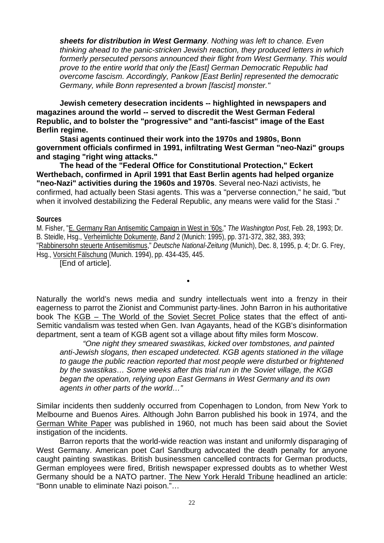*sheets for distribution in West Germany. Nothing was left to chance. Even thinking ahead to the panic-stricken Jewish reaction, they produced letters in which formerly persecuted persons announced their flight from West Germany. This would prove to the entire world that only the [East] German Democratic Republic had overcome fascism. Accordingly, Pankow [East Berlin] represented the democratic Germany, while Bonn represented a brown [fascist] monster."* 

**Jewish cemetery desecration incidents -- highlighted in newspapers and magazines around the world -- served to discredit the West German Federal Republic, and to bolster the "progressive" and "anti-fascist" image of the East Berlin regime.** 

**Stasi agents continued their work into the 1970s and 1980s, Bonn government officials confirmed in 1991, infiltrating West German "neo-Nazi" groups and staging "right wing attacks."** 

**The head of the "Federal Office for Constitutional Protection," Eckert Werthebach, confirmed in April 1991 that East Berlin agents had helped organize "neo-Nazi" activities during the 1960s and 1970s**. Several neo-Nazi activists, he confirmed, had actually been Stasi agents. This was a "perverse connection," he said, "but when it involved destabilizing the Federal Republic, any means were valid for the Stasi ."

#### **Sources**

M. Fisher, "E. Germany Ran Antisemitic Campaign in West in '60s," *The Washington Post*, Feb. 28, 1993; Dr. B. Steidle, Hsg., Verheimlichte Dokumente, *Band* 2 (Munich: 1995), pp. 371-372, 382, 383, 393; "Rabbinersohn steuerte Antisemitismus," *Deutsche National-Zeitung* (Munich), Dec. 8, 1995, p. 4; Dr. G. Frey, Hsg., Vorsicht Fälschung (Munich. 1994), pp. 434-435, 445.

•

[End of article].

Naturally the world's news media and sundry intellectuals went into a frenzy in their eagerness to parrot the Zionist and Communist party-lines. John Barron in his authoritative book The KGB – The World of the Soviet Secret Police states that the effect of anti-Semitic vandalism was tested when Gen. Ivan Agayants, head of the KGB's disinformation department, sent a team of KGB agent sot a village about fifty miles form Moscow.

*"One night they smeared swastikas, kicked over tombstones, and painted anti-Jewish slogans, then escaped undetected. KGB agents stationed in the village to gauge the public reaction reported that most people were disturbed or frightened by the swastikas… Some weeks after this trial run in the Soviet village, the KGB began the operation, relying upon East Germans in West Germany and its own agents in other parts of the world…"* 

Similar incidents then suddenly occurred from Copenhagen to London, from New York to Melbourne and Buenos Aires. Although John Barron published his book in 1974, and the German White Paper was published in 1960, not much has been said about the Soviet instigation of the incidents.

 Barron reports that the world-wide reaction was instant and uniformly disparaging of West Germany. American poet Carl Sandburg advocated the death penalty for anyone caught painting swastikas. British businessmen cancelled contracts for German products, German employees were fired, British newspaper expressed doubts as to whether West Germany should be a NATO partner. The New York Herald Tribune headlined an article: "Bonn unable to eliminate Nazi poison."…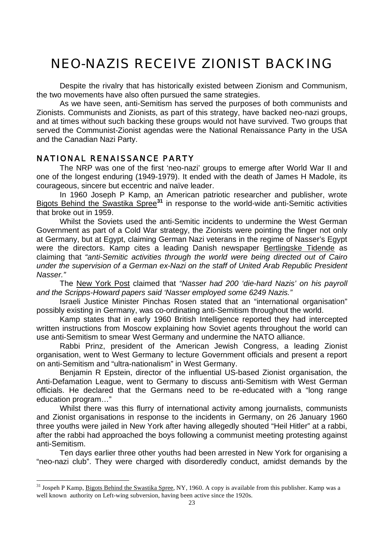## NEO-NAZIS RECEIVE ZIONIST BACKING

 Despite the rivalry that has historically existed between Zionism and Communism, the two movements have also often pursued the same strategies.

 As we have seen, anti-Semitism has served the purposes of both communists and Zionists. Communists and Zionists, as part of this strategy, have backed neo-nazi groups, and at times without such backing these groups would not have survived. Two groups that served the Communist-Zionist agendas were the National Renaissance Party in the USA and the Canadian Nazi Party.

## NATIONAL RENAISSANCE PARTY

<u>.</u>

 The NRP was one of the first 'neo-nazi' groups to emerge after World War II and one of the longest enduring (1949-1979). It ended with the death of James H Madole, its courageous, sincere but eccentric and naïve leader.

 In 1960 Joseph P Kamp, an American patriotic researcher and publisher, wrote Bigots Behind the Swastika Spree**<sup>31</sup>** in response to the world-wide anti-Semitic activities that broke out in 1959.

 Whilst the Soviets used the anti-Semitic incidents to undermine the West German Government as part of a Cold War strategy, the Zionists were pointing the finger not only at Germany, but at Egypt, claiming German Nazi veterans in the regime of Nasser's Egypt were the directors. Kamp cites a leading Danish newspaper Bertlingske Tidende as claiming that *"anti-Semitic activities through the world were being directed out of Cairo under the supervision of a German ex-Nazi on the staff of United Arab Republic President Nasser."*

 The New York Post claimed that *"Nasser had 200 'die-hard Nazis' on his payroll and the Scripps-Howard papers said 'Nasser employed some 6249 Nazis."*

 Israeli Justice Minister Pinchas Rosen stated that an "international organisation" possibly existing in Germany, was co-ordinating anti-Semitism throughout the world.

 Kamp states that in early 1960 British Intelligence reported they had intercepted written instructions from Moscow explaining how Soviet agents throughout the world can use anti-Semitism to smear West Germany and undermine the NATO alliance.

 Rabbi Prinz, president of the American Jewish Congress, a leading Zionist organisation, went to West Germany to lecture Government officials and present a report on anti-Semitism and "ultra-nationalism" in West Germany.

 Benjamin R Epstein, director of the influential US-based Zionist organisation, the Anti-Defamation League, went to Germany to discuss anti-Semitism with West German officials. He declared that the Germans need to be re-educated with a "long range education program…"

 Whilst there was this flurry of international activity among journalists, communists and Zionist organisations in response to the incidents in Germany, on 26 January 1960 three youths were jailed in New York after having allegedly shouted "Heil Hitler" at a rabbi, after the rabbi had approached the boys following a communist meeting protesting against anti-Semitism.

 Ten days earlier three other youths had been arrested in New York for organising a "neo-nazi club". They were charged with disorderedly conduct, amidst demands by the

 $31$  Jospeh P Kamp, Bigots Behind the Swastika Spree, NY, 1960. A copy is available from this publisher. Kamp was a well known authority on Left-wing subversion, having been active since the 1920s.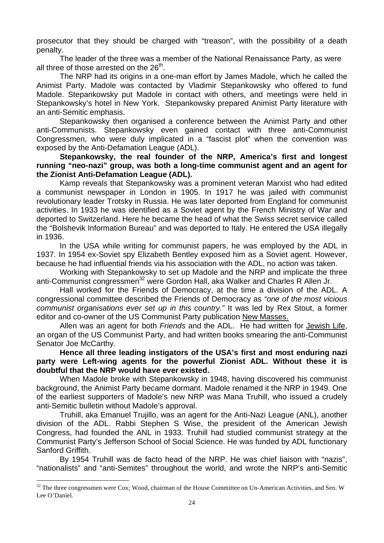prosecutor that they should be charged with "treason", with the possibility of a death penalty.

 The leader of the three was a member of the National Renaissance Party, as were all three of those arrested on the  $26<sup>th</sup>$ .

 The NRP had its origins in a one-man effort by James Madole, which he called the Animist Party. Madole was contacted by Vladimir Stepankowsky who offered to fund Madole. Stepankowsky put Madole in contact with others, and meetings were held in Stepankowsky's hotel in New York. Stepankowsky prepared Animist Party literature with an anti-Semitic emphasis.

 Stepankowsky then organised a conference between the Animist Party and other anti-Communists. Stepankowsky even gained contact with three anti-Communist Congressmen, who were duly implicated in a "fascist plot" when the convention was exposed by the Anti-Defamation League (ADL).

 **Stepankowsky, the real founder of the NRP, America's first and longest running "neo-nazi" group, was both a long-time communist agent and an agent for the Zionist Anti-Defamation League (ADL).** 

 Kamp reveals that Stepankowsky was a prominent veteran Marxist who had edited a communist newspaper in London in 1905. In 1917 he was jailed with communist revolutionary leader Trotsky in Russia. He was later deported from England for communist activities. In 1933 he was identified as a Soviet agent by the French Ministry of War and deported to Switzerland. Here he became the head of what the Swiss secret service called the "Bolshevik Information Bureau" and was deported to Italy. He entered the USA illegally in 1936.

 In the USA while writing for communist papers, he was employed by the ADL in 1937. In 1954 ex-Soviet spy Elizabeth Bentley exposed him as a Soviet agent. However, because he had influential friends via his association with the ADL, no action was taken.

 Working with Stepankowsky to set up Madole and the NRP and implicate the three anti-Communist congressmen<sup>32</sup> were Gordon Hall, aka Walker and Charles R Allen Jr.

 Hall worked for the Friends of Democracy, at the time a division of the ADL. A congressional committee described the Friends of Democracy as *"one of the most vicious communist organisations ever set up in this country."* It was led by Rex Stout, a former editor and co-owner of the US Communist Party publication New Masses.

 Allen was an agent for both *Friends* and the ADL. He had written for Jewish Life, an organ of the US Communist Party, and had written books smearing the anti-Communist Senator Joe McCarthy.

 **Hence all three leading instigators of the USA's first and most enduring nazi party were Left-wing agents for the powerful Zionist ADL. Without these it is doubtful that the NRP would have ever existed.** 

 When Madole broke with Stepankowsky in 1948, having discovered his communist background, the Animist Party became dormant. Madole renamed it the NRP in 1949. One of the earliest supporters of Madole's new NRP was Mana Truhill, who issued a crudely anti-Semitic bulletin without Madole's approval.

 Truhill, aka Emanuel Trujillo, was an agent for the Anti-Nazi League (ANL), another division of the ADL. Rabbi Stephen S Wise, the president of the American Jewish Congress, had founded the ANL in 1933. Truhill had studied communist strategy at the Communist Party's Jefferson School of Social Science. He was funded by ADL functionary Sanford Griffith.

 By 1954 Truhill was de facto head of the NRP. He was chief liaison with "nazis", "nationalists" and "anti-Semites" throughout the world, and wrote the NRP's anti-Semitic

<u>.</u>

<sup>&</sup>lt;sup>32</sup> The three congressmen were Cox; Wood, chairman of the House Committee on Un-American Activities, and Sen. W Lee O'Daniel.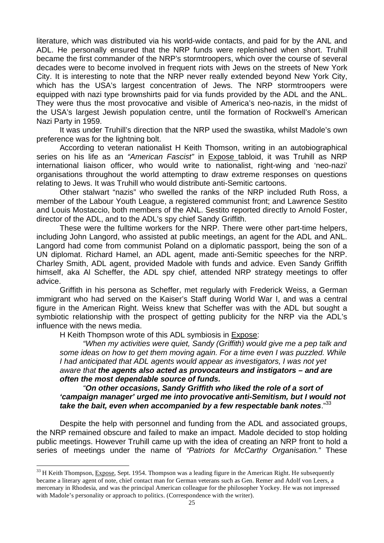literature, which was distributed via his world-wide contacts, and paid for by the ANL and ADL. He personally ensured that the NRP funds were replenished when short. Truhill became the first commander of the NRP's stormtroopers, which over the course of several decades were to become involved in frequent riots with Jews on the streets of New York City. It is interesting to note that the NRP never really extended beyond New York City, which has the USA's largest concentration of Jews. The NRP stormtroopers were equipped with nazi type brownshirts paid for via funds provided by the ADL and the ANL. They were thus the most provocative and visible of America's neo-nazis, in the midst of the USA's largest Jewish population centre, until the formation of Rockwell's American Nazi Party in 1959.

 It was under Truhill's direction that the NRP used the swastika, whilst Madole's own preference was for the lightning bolt.

 According to veteran nationalist H Keith Thomson, writing in an autobiographical series on his life as an *"American Fascist"* in Expose tabloid, it was Truhill as NRP international liaison officer, who would write to nationalist, right-wing and 'neo-nazi' organisations throughout the world attempting to draw extreme responses on questions relating to Jews. It was Truhill who would distribute anti-Semitic cartoons.

 Other stalwart "nazis" who swelled the ranks of the NRP included Ruth Ross, a member of the Labour Youth League, a registered communist front; and Lawrence Sestito and Louis Mostaccio, both members of the ANL. Sestito reported directly to Arnold Foster, director of the ADL, and to the ADL's spy chief Sandy Griffith.

 These were the fulltime workers for the NRP. There were other part-time helpers, including John Langord, who assisted at public meetings, an agent for the ADL and ANL. Langord had come from communist Poland on a diplomatic passport, being the son of a UN diplomat. Richard Hamel, an ADL agent, made anti-Semitic speeches for the NRP. Charley Smith, ADL agent, provided Madole with funds and advice. Even Sandy Griffith himself, aka Al Scheffer, the ADL spy chief, attended NRP strategy meetings to offer advice.

 Griffith in his persona as Scheffer, met regularly with Frederick Weiss, a German immigrant who had served on the Kaiser's Staff during World War I, and was a central figure in the American Right. Weiss knew that Scheffer was with the ADL but sought a symbiotic relationship with the prospect of getting publicity for the NRP via the ADL's influence with the news media.

H Keith Thompson wrote of this ADL symbiosis in Expose:

<u>.</u>

*"When my activities were quiet, Sandy (Griffith) would give me a pep talk and some ideas on how to get them moving again. For a time even I was puzzled. While I had anticipated that ADL agents would appear as investigators, I was not yet aware that the agents also acted as provocateurs and instigators – and are often the most dependable source of funds.*

*"On other occasions, Sandy Griffith who liked the role of a sort of 'campaign manager' urged me into provocative anti-Semitism, but I would not take the bait, even when accompanied by a few respectable bank notes*."33

Despite the help with personnel and funding from the ADL and associated groups, the NRP remained obscure and failed to make an impact. Madole decided to stop holding public meetings. However Truhill came up with the idea of creating an NRP front to hold a series of meetings under the name of *"Patriots for McCarthy Organisation."* These

<sup>&</sup>lt;sup>33</sup> H Keith Thompson, Expose, Sept. 1954. Thompson was a leading figure in the American Right. He subsequently became a literary agent of note, chief contact man for German veterans such as Gen. Remer and Adolf von Leers, a mercenary in Rhodesia, and was the principal American colleague for the philosopher Yockey. He was not impressed with Madole's personality or approach to politics. (Correspondence with the writer).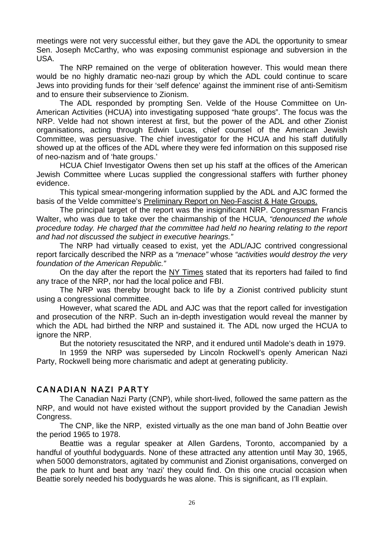meetings were not very successful either, but they gave the ADL the opportunity to smear Sen. Joseph McCarthy, who was exposing communist espionage and subversion in the USA.

 The NRP remained on the verge of obliteration however. This would mean there would be no highly dramatic neo-nazi group by which the ADL could continue to scare Jews into providing funds for their 'self defence' against the imminent rise of anti-Semitism and to ensure their subservience to Zionism.

 The ADL responded by prompting Sen. Velde of the House Committee on Un-American Activities (HCUA) into investigating supposed "hate groups". The focus was the NRP. Velde had not shown interest at first, but the power of the ADL and other Zionist organisations, acting through Edwin Lucas, chief counsel of the American Jewish Committee, was persuasive. The chief investigator for the HCUA and his staff dutifully showed up at the offices of the ADL where they were fed information on this supposed rise of neo-nazism and of 'hate groups.'

 HCUA Chief Investigator Owens then set up his staff at the offices of the American Jewish Committee where Lucas supplied the congressional staffers with further phoney evidence.

 This typical smear-mongering information supplied by the ADL and AJC formed the basis of the Velde committee's Preliminary Report on Neo-Fascist & Hate Groups.

 The principal target of the report was the insignificant NRP. Congressman Francis Walter, who was due to take over the chairmanship of the HCUA, *"denounced the whole procedure today. He charged that the committee had held no hearing relating to the report and had not discussed the subject in executive hearings."*

 The NRP had virtually ceased to exist, yet the ADL/AJC contrived congressional report farcically described the NRP as a *"menace"* whose *"activities would destroy the very foundation of the American Republic."*

 On the day after the report the NY Times stated that its reporters had failed to find any trace of the NRP, nor had the local police and FBI.

 The NRP was thereby brought back to life by a Zionist contrived publicity stunt using a congressional committee.

 However, what scared the ADL and AJC was that the report called for investigation and prosecution of the NRP. Such an in-depth investigation would reveal the manner by which the ADL had birthed the NRP and sustained it. The ADL now urged the HCUA to ignore the NRP.

But the notoriety resuscitated the NRP, and it endured until Madole's death in 1979.

 In 1959 the NRP was superseded by Lincoln Rockwell's openly American Nazi Party, Rockwell being more charismatic and adept at generating publicity.

#### CANADIAN NAZI PARTY

 The Canadian Nazi Party (CNP), while short-lived, followed the same pattern as the NRP, and would not have existed without the support provided by the Canadian Jewish Congress.

 The CNP, like the NRP, existed virtually as the one man band of John Beattie over the period 1965 to 1978.

 Beattie was a regular speaker at Allen Gardens, Toronto, accompanied by a handful of youthful bodyguards. None of these attracted any attention until May 30, 1965, when 5000 demonstrators, agitated by communist and Zionist organisations, converged on the park to hunt and beat any 'nazi' they could find. On this one crucial occasion when Beattie sorely needed his bodyguards he was alone. This is significant, as I'll explain.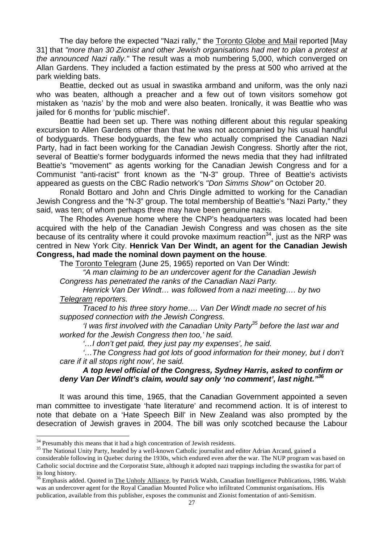The day before the expected "Nazi rally," the Toronto Globe and Mail reported [May 31] that *"more than 30 Zionist and other Jewish organisations had met to plan a protest at the announced Nazi rally."* The result was a mob numbering 5,000, which converged on Allan Gardens. They included a faction estimated by the press at 500 who arrived at the park wielding bats.

Beattie, decked out as usual in swastika armband and uniform, was the only nazi who was beaten, although a preacher and a few out of town visitors somehow got mistaken as 'nazis' by the mob and were also beaten. Ironically, it was Beattie who was jailed for 6 months for 'public mischief'.

 Beattie had been set up. There was nothing different about this regular speaking excursion to Allen Gardens other than that he was not accompanied by his usual handful of bodyguards. These bodyguards, the few who actually comprised the Canadian Nazi Party, had in fact been working for the Canadian Jewish Congress. Shortly after the riot, several of Beattie's former bodyguards informed the news media that they had infiltrated Beattie's "movement" as agents working for the Canadian Jewish Congress and for a Communist "anti-racist" front known as the "N-3" group. Three of Beattie's activists appeared as guests on the CBC Radio network's *"Don Simms Show"* on October 20.

Ronald Bottaro and John and Chris Dingle admitted to working for the Canadian Jewish Congress and the "N-3" group. The total membership of Beattie's "Nazi Party," they said, was ten; of whom perhaps three may have been genuine nazis.

The Rhodes Avenue home where the CNP's headquarters was located had been acquired with the help of the Canadian Jewish Congress and was chosen as the site because of its centrality where it could provoke maximum reaction<sup>34</sup>, just as the NRP was centred in New York City. **Henrick Van Der Windt, an agent for the Canadian Jewish Congress, had made the nominal down payment on the house**.

The Toronto Telegram (June 25, 1965) reported on Van Der Windt:

*"A man claiming to be an undercover agent for the Canadian Jewish* 

*Congress has penetrated the ranks of the Canadian Nazi Party.* 

*Henrick Van Der Windt… was followed from a nazi meeting…. by two Telegram reporters.* 

*Traced to his three story home…. Van Der Windt made no secret of his supposed connection with the Jewish Congress.* 

*'I was first involved with the Canadian Unity Party35 before the last war and worked for the Jewish Congress then too,' he said.* 

*'…I don't get paid, they just pay my expenses', he said.* 

*'…The Congress had got lots of good information for their money, but I don't care if it all stops right now', he said.* 

#### *A top level official of the Congress, Sydney Harris, asked to confirm or deny Van Der Windt's claim, would say only 'no comment', last night."36*

It was around this time, 1965, that the Canadian Government appointed a seven man committee to investigate 'hate literature' and recommend action. It is of interest to note that debate on a 'Hate Speech Bill' in New Zealand was also prompted by the desecration of Jewish graves in 2004. The bill was only scotched because the Labour

<u>.</u>

 $34$  Presumably this means that it had a high concentration of Jewish residents.

<sup>&</sup>lt;sup>35</sup> The National Unity Party, headed by a well-known Catholic journalist and editor Adrian Arcand, gained a considerable following in Quebec during the 1930s, which endured even after the war. The NUP program was based on

Catholic social doctrine and the Corporatist State, although it adopted nazi trappings including the swastika for part of its long history.

<sup>&</sup>lt;sup>36</sup> Emphasis added. Quoted in The Unholy Alliance, by Patrick Walsh, Canadian Intelligence Publications, 1986. Walsh was an undercover agent for the Royal Canadian Mounted Police who infiltrated Communist organisations. His publication, available from this publisher, exposes the communist and Zionist fomentation of anti-Semitism.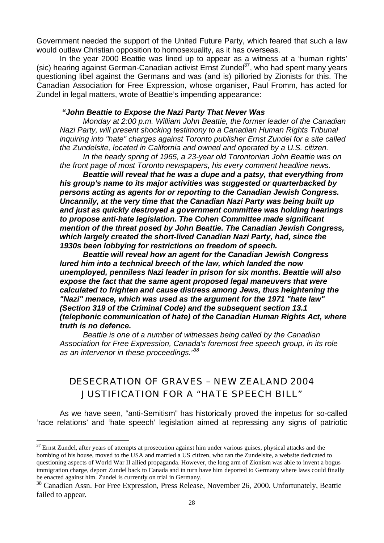Government needed the support of the United Future Party, which feared that such a law would outlaw Christian opposition to homosexuality, as it has overseas.

 In the year 2000 Beattie was lined up to appear as a witness at a 'human rights' (sic) hearing against German-Canadian activist Ernst Zundel<sup>37</sup>, who had spent many years questioning libel against the Germans and was (and is) pilloried by Zionists for this. The Canadian Association for Free Expression, whose organiser, Paul Fromm, has acted for Zundel in legal matters, wrote of Beattie's impending appearance:

#### *"John Beattie to Expose the Nazi Party That Never Was*

*Monday at 2:00 p.m. William John Beattie, the former leader of the Canadian Nazi Party, will present shocking testimony to a Canadian Human Rights Tribunal inquiring into "hate" charges against Toronto publisher Ernst Zundel for a site called the Zundelsite, located in California and owned and operated by a U.S. citizen.* 

*In the heady spring of 1965, a 23-year old Torontonian John Beattie was on the front page of most Toronto newspapers, his every comment headline news.* 

*Beattie will reveal that he was a dupe and a patsy, that everything from his group's name to its major activities was suggested or quarterbacked by persons acting as agents for or reporting to the Canadian Jewish Congress. Uncannily, at the very time that the Canadian Nazi Party was being built up and just as quickly destroyed a government committee was holding hearings to propose anti-hate legislation. The Cohen Committee made significant mention of the threat posed by John Beattie. The Canadian Jewish Congress, which largely created the short-lived Canadian Nazi Party, had, since the 1930s been lobbying for restrictions on freedom of speech.*

*Beattie will reveal how an agent for the Canadian Jewish Congress lured him into a technical breech of the law, which landed the now unemployed, penniless Nazi leader in prison for six months. Beattie will also expose the fact that the same agent proposed legal maneuvers that were calculated to frighten and cause distress among Jews, thus heightening the "Nazi" menace, which was used as the argument for the 1971 "hate law" (Section 319 of the Criminal Code) and the subsequent section 13.1 (telephonic communication of hate) of the Canadian Human Rights Act, where truth is no defence.* 

*Beattie is one of a number of witnesses being called by the Canadian Association for Free Expression, Canada's foremost free speech group, in its role as an intervenor in these proceedings."38*

## DESECRATION OF GRAVES – NEW ZEALAND 2004 JUSTIFICATION FOR A "HATE SPEECH BILL"

As we have seen, "anti-Semitism" has historically proved the impetus for so-called 'race relations' and 'hate speech' legislation aimed at repressing any signs of patriotic

1

 $37$  Ernst Zundel, after years of attempts at prosecution against him under various guises, physical attacks and the bombing of his house, moved to the USA and married a US citizen, who ran the Zundelsite, a website dedicated to questioning aspects of World War II allied propaganda. However, the long arm of Zionism was able to invent a bogus immigration charge, deport Zundel back to Canada and in turn have him deported to Germany where laws could finally be enacted against him. Zundel is currently on trial in Germany.

<sup>&</sup>lt;sup>38</sup> Canadian Assn. For Free Expression, Press Release, November 26, 2000. Unfortunately, Beattie failed to appear.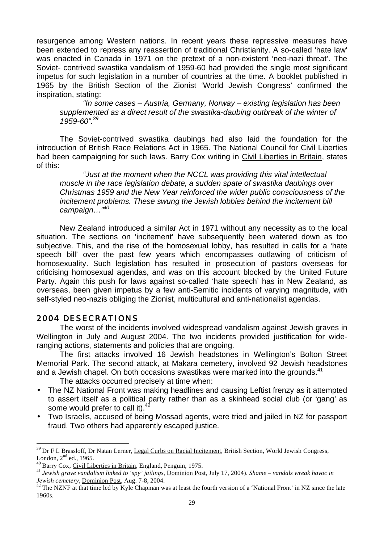resurgence among Western nations. In recent years these repressive measures have been extended to repress any reassertion of traditional Christianity. A so-called 'hate law' was enacted in Canada in 1971 on the pretext of a non-existent 'neo-nazi threat'. The Soviet- contrived swastika vandalism of 1959-60 had provided the single most significant impetus for such legislation in a number of countries at the time. A booklet published in 1965 by the British Section of the Zionist 'World Jewish Congress' confirmed the inspiration, stating:

*"In some cases – Austria, Germany, Norway – existing legislation has been supplemented as a direct result of the swastika-daubing outbreak of the winter of 1959-60".39*

The Soviet-contrived swastika daubings had also laid the foundation for the introduction of British Race Relations Act in 1965. The National Council for Civil Liberties had been campaigning for such laws. Barry Cox writing in Civil Liberties in Britain, states of this:

*"Just at the moment when the NCCL was providing this vital intellectual muscle in the race legislation debate, a sudden spate of swastika daubings over Christmas 1959 and the New Year reinforced the wider public consciousness of the incitement problems. These swung the Jewish lobbies behind the incitement bill campaign…"40*

New Zealand introduced a similar Act in 1971 without any necessity as to the local situation. The sections on 'incitement' have subsequently been watered down as too subjective. This, and the rise of the homosexual lobby, has resulted in calls for a 'hate speech bill' over the past few years which encompasses outlawing of criticism of homosexuality. Such legislation has resulted in prosecution of pastors overseas for criticising homosexual agendas, and was on this account blocked by the United Future Party. Again this push for laws against so-called 'hate speech' has in New Zealand, as overseas, been given impetus by a few anti-Semitic incidents of varying magnitude, with self-styled neo-nazis obliging the Zionist, multicultural and anti-nationalist agendas.

### 2004 DESECRATIONS

<u>.</u>

 The worst of the incidents involved widespread vandalism against Jewish graves in Wellington in July and August 2004. The two incidents provided justification for wideranging actions, statements and policies that are ongoing.

The first attacks involved 16 Jewish headstones in Wellington's Bolton Street Memorial Park. The second attack, at Makara cemetery, involved 92 Jewish headstones and a Jewish chapel. On both occasions swastikas were marked into the grounds. $41$ 

The attacks occurred precisely at time when:

- The NZ National Front was making headlines and causing Leftist frenzy as it attempted to assert itself as a political party rather than as a skinhead social club (or 'gang' as some would prefer to call it).<sup>42</sup>
- Two Israelis, accused of being Mossad agents, were tried and jailed in NZ for passport fraud. Two others had apparently escaped justice.

<sup>&</sup>lt;sup>39</sup> Dr F L Brassloff, Dr Natan Lerner, Legal Curbs on Racial Incitement, British Section, World Jewish Congress, London, 2<sup>nd</sup> ed., 1965.<br><sup>40</sup> Barry Cox, <u>Civil Liberties in Britain</u>, England, Penguin, 1975.<br><sup>41</sup> *Jewish grave vandalism linked to 'spy' jailings*, <u>Dominion Post</u>, July 17, 2004). *Shame – vandals wreak havoc in* 

*Jewish cemetery,* Dominion Post, Aug. 7-8, 2004.<br><sup>42</sup> The NZNF at that time led by Kyle Chapman was at least the fourth version of a 'National Front' in NZ since the late

<sup>1960</sup>s.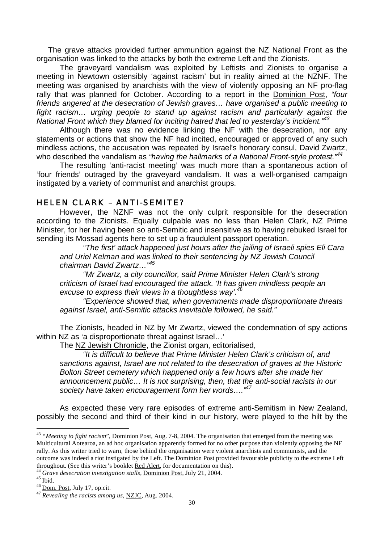The grave attacks provided further ammunition against the NZ National Front as the organisation was linked to the attacks by both the extreme Left and the Zionists.

 The graveyard vandalism was exploited by Leftists and Zionists to organise a meeting in Newtown ostensibly 'against racism' but in reality aimed at the NZNF. The meeting was organised by anarchists with the view of violently opposing an NF pro-flag rally that was planned for October. According to a report in the Dominion Post, *"four friends angered at the desecration of Jewish graves… have organised a public meeting to fight racism… urging people to stand up against racism and particularly against the National Front which they blamed for inciting hatred that led to yesterday's incident."43*

 Although there was no evidence linking the NF with the desecration, nor any statements or actions that show the NF had incited, encouraged or approved of any such mindless actions, the accusation was repeated by Israel's honorary consul, David Zwartz, who described the vandalism as "having the hallmarks of a National Front-style protest."<sup>44</sup>

 The resulting 'anti-racist meeting' was much more than a spontaneous action of 'four friends' outraged by the graveyard vandalism. It was a well-organised campaign instigated by a variety of communist and anarchist groups.

#### HELEN CLARK – ANTI-SEMITE?

However, the NZNF was not the only culprit responsible for the desecration according to the Zionists. Equally culpable was no less than Helen Clark, NZ Prime Minister, for her having been so anti-Semitic and insensitive as to having rebuked Israel for sending its Mossad agents here to set up a fraudulent passport operation.

*"The first' attack happened just hours after the jailing of Israeli spies Eli Cara and Uriel Kelman and was linked to their sentencing by NZ Jewish Council chairman David Zwartz…"45*

*"Mr Zwartz, a city councillor, said Prime Minister Helen Clark's strong criticism of Israel had encouraged the attack. 'It has given mindless people an excuse to express their views in a thoughtless way'.<sup>46</sup>*

*"Experience showed that, when governments made disproportionate threats against Israel, anti-Semitic attacks inevitable followed, he said."* 

The Zionists, headed in NZ by Mr Zwartz, viewed the condemnation of spy actions within NZ as 'a disproportionate threat against Israel...'

The NZ Jewish Chronicle, the Zionist organ, editorialised,

*"It is difficult to believe that Prime Minister Helen Clark's criticism of, and sanctions against, Israel are not related to the desecration of graves at the Historic Bolton Street cemetery which happened only a few hours after she made her announcement public… It is not surprising, then, that the anti-social racists in our society have taken encouragement form her words…."47*

As expected these very rare episodes of extreme anti-Semitism in New Zealand, possibly the second and third of their kind in our history, were played to the hilt by the

1

<sup>&</sup>lt;sup>43</sup> "Meeting to fight racism", Dominion Post, Aug. 7-8, 2004. The organisation that emerged from the meeting was Multicultural Aotearoa, an ad hoc organisation apparently formed for no other purpose than violently opposing the NF rally. As this writer tried to warn, those behind the organisation were violent anarchists and communists, and the outcome was indeed a riot instigated by the Left. The Dominion Post provided favourable publicity to the extreme Left

throughout. (See this writer's booklet <u>Red Alert</u>, for documentation on this).<br><sup>44</sup> *Grave desecration investigation stalls*, <u>Dominion Post</u>, July 21, 2004.<br><sup>45</sup> Dom. Post, July 17, op.cit.

 $\frac{47}{\text{Revealing}}$  the racists among us, <u>NZJC</u>, Aug. 2004.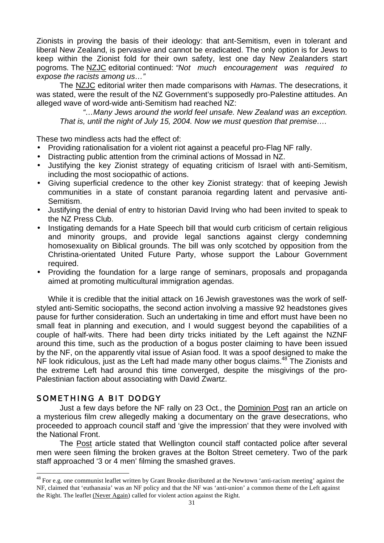Zionists in proving the basis of their ideology: that ant-Semitism, even in tolerant and liberal New Zealand, is pervasive and cannot be eradicated. The only option is for Jews to keep within the Zionist fold for their own safety, lest one day New Zealanders start pogroms. The NZJC editorial continued: *"Not much encouragement was required to expose the racists among us…"*

 The NZJC editorial writer then made comparisons with *Hamas*. The desecrations, it was stated, were the result of the NZ Government's supposedly pro-Palestine attitudes. An alleged wave of word-wide anti-Semitism had reached NZ:

*"…Many Jews around the world feel unsafe. New Zealand was an exception. That is, until the night of July 15, 2004. Now we must question that premise….* 

These two mindless acts had the effect of:

- Providing rationalisation for a violent riot against a peaceful pro-Flag NF rally.
- Distracting public attention from the criminal actions of Mossad in NZ.
- Justifying the key Zionist strategy of equating criticism of Israel with anti-Semitism, including the most sociopathic of actions.
- Giving superficial credence to the other key Zionist strategy: that of keeping Jewish communities in a state of constant paranoia regarding latent and pervasive anti-Semitism.
- Justifying the denial of entry to historian David Irving who had been invited to speak to the NZ Press Club.
- Instigating demands for a Hate Speech bill that would curb criticism of certain religious and minority groups, and provide legal sanctions against clergy condemning homosexuality on Biblical grounds. The bill was only scotched by opposition from the Christina-orientated United Future Party, whose support the Labour Government required.
- Providing the foundation for a large range of seminars, proposals and propaganda aimed at promoting multicultural immigration agendas.

While it is credible that the initial attack on 16 Jewish gravestones was the work of selfstyled anti-Semitic sociopaths, the second action involving a massive 92 headstones gives pause for further consideration. Such an undertaking in time and effort must have been no small feat in planning and execution, and I would suggest beyond the capabilities of a couple of half-wits. There had been dirty tricks initiated by the Left against the NZNF around this time, such as the production of a bogus poster claiming to have been issued by the NF, on the apparently vital issue of Asian food. It was a spoof designed to make the NF look ridiculous, just as the Left had made many other bogus claims.<sup>48</sup> The Zionists and the extreme Left had around this time converged, despite the misgivings of the pro-Palestinian faction about associating with David Zwartz.

### SOMETHING A BIT DODGY

1

 Just a few days before the NF rally on 23 Oct., the Dominion Post ran an article on a mysterious film crew allegedly making a documentary on the grave desecrations, who proceeded to approach council staff and 'give the impression' that they were involved with the National Front.

 The Post article stated that Wellington council staff contacted police after several men were seen filming the broken graves at the Bolton Street cemetery. Two of the park staff approached '3 or 4 men' filming the smashed graves.

 $48$  For e.g. one communist leaflet written by Grant Brooke distributed at the Newtown 'anti-racism meeting' against the NF, claimed that 'euthanasia' was an NF policy and that the NF was 'anti-union' a common theme of the Left against the Right. The leaflet (Never Again) called for violent action against the Right.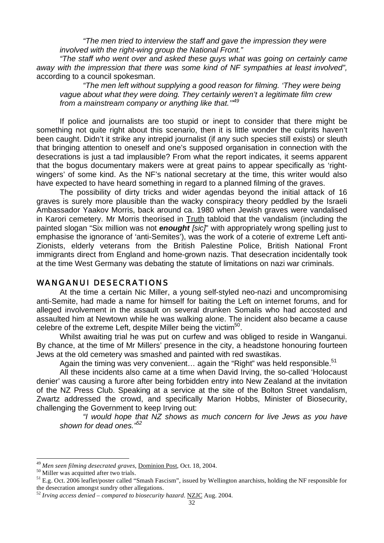*"The men tried to interview the staff and gave the impression they were involved with the right-wing group the National Front."* 

*"The staff who went over and asked these guys what was going on certainly came away with the impression that there was some kind of NF sympathies at least involved",* according to a council spokesman.

*"The men left without supplying a good reason for filming. 'They were being vague about what they were doing. They certainly weren't a legitimate film crew from a mainstream company or anything like that.'"49*

If police and journalists are too stupid or inept to consider that there might be something not quite right about this scenario, then it is little wonder the culprits haven't been caught. Didn't it strike any intrepid journalist (if any such species still exists) or sleuth that bringing attention to oneself and one's supposed organisation in connection with the desecrations is just a tad implausible? From what the report indicates, it seems apparent that the bogus documentary makers were at great pains to appear specifically as 'rightwingers' of some kind. As the NF's national secretary at the time, this writer would also have expected to have heard something in regard to a planned filming of the graves.

 The possibility of dirty tricks and wider agendas beyond the initial attack of 16 graves is surely more plausible than the wacky conspiracy theory peddled by the Israeli Ambassador Yaakov Morris, back around ca. 1980 when Jewish graves were vandalised in Karori cemetery. Mr Morris theorised in Truth tabloid that the vandalism (including the painted slogan "Six million was not *enought [sic]*" with appropriately wrong spelling just to emphasise the ignorance of 'anti-Semites'), was the work of a coterie of extreme Left anti-Zionists, elderly veterans from the British Palestine Police, British National Front immigrants direct from England and home-grown nazis. That desecration incidentally took at the time West Germany was debating the statute of limitations on nazi war criminals.

#### WANGANUI DESECRATIONS

 At the time a certain Nic Miller, a young self-styled neo-nazi and uncompromising anti-Semite, had made a name for himself for baiting the Left on internet forums, and for alleged involvement in the assault on several drunken Somalis who had accosted and assaulted him at Newtown while he was walking alone. The incident also became a cause celebre of the extreme Left, despite Miller being the victim<sup>50</sup>.

 Whilst awaiting trial he was put on curfew and was obliged to reside in Wanganui. By chance, at the time of Mr Millers' presence in the city, a headstone honouring fourteen Jews at the old cemetery was smashed and painted with red swastikas.

Again the timing was very convenient... again the "Right" was held responsible.<sup>51</sup>

 All these incidents also came at a time when David Irving, the so-called 'Holocaust denier' was causing a furore after being forbidden entry into New Zealand at the invitation of the NZ Press Club. Speaking at a service at the site of the Bolton Street vandalism, Zwartz addressed the crowd, and specifically Marion Hobbs, Minister of Biosecurity, challenging the Government to keep Irving out:

*"I would hope that NZ shows as much concern for live Jews as you have shown for dead ones."52*

1

<sup>&</sup>lt;sup>49</sup> *Men seen filming desecrated graves*, <u>Dominion Post</u>, Oct. 18, 2004.<br><sup>50</sup> Miller was acquitted after two trials.

 $^{50}$  Miller was acquitted after two trials.<br> $^{51}$  E.g. Oct. 2006 leaflet/poster called "Smash Fascism", issued by Wellington anarchists, holding the NF responsible for the desecration amongst sundry other allegations.

<sup>52</sup> *Irving access denied – compared to biosecurity hazard*. NZJC Aug. 2004.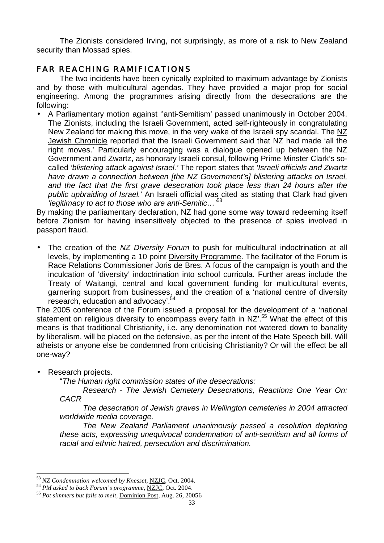The Zionists considered Irving, not surprisingly, as more of a risk to New Zealand security than Mossad spies.

## FAR REACHING RAMIFICATIONS

 The two incidents have been cynically exploited to maximum advantage by Zionists and by those with multicultural agendas. They have provided a major prop for social engineering. Among the programmes arising directly from the desecrations are the following:

• A Parliamentary motion against ''anti-Semitism' passed unanimously in October 2004. The Zionists, including the Israeli Government, acted self-righteously in congratulating New Zealand for making this move, in the very wake of the Israeli spy scandal. The NZ Jewish Chronicle reported that the Israeli Government said that NZ had made 'all the right moves.' Particularly encouraging was a dialogue opened up between the NZ Government and Zwartz, as honorary Israeli consul, following Prime Minster Clark's socalled *'blistering attack against Israel.'* The report states that *'Israeli officials and Zwartz have drawn a connection between [the NZ Government's] blistering attacks on Israel, and the fact that the first grave desecration took place less than 24 hours after the public upbraiding of Israel.'* An Israeli official was cited as stating that Clark had given *'legitimacy to act to those who are anti-Semitic…'*<sup>53</sup>

By making the parliamentary declaration, NZ had gone some way toward redeeming itself before Zionism for having insensitively objected to the presence of spies involved in passport fraud.

• The creation of the *NZ Diversity Forum* to push for multicultural indoctrination at all levels, by implementing a 10 point Diversity Programme. The facilitator of the Forum is Race Relations Commissioner Joris de Bres. A focus of the campaign is youth and the inculcation of 'diversity' indoctrination into school curricula. Further areas include the Treaty of Waitangi, central and local government funding for multicultural events, garnering support from businesses, and the creation of a 'national centre of diversity research, education and advocacy'.<sup>54</sup>

The 2005 conference of the Forum issued a proposal for the development of a 'national statement on religious diversity to encompass every faith in NZ'.<sup>55</sup> What the effect of this means is that traditional Christianity, i.e. any denomination not watered down to banality by liberalism, will be placed on the defensive, as per the intent of the Hate Speech bill. Will atheists or anyone else be condemned from criticising Christianity? Or will the effect be all one-way?

• Research projects.

1

"*The Human right commission states of the desecrations:* 

*Research - The Jewish Cemetery Desecrations, Reactions One Year On: CACR* 

*The desecration of Jewish graves in Wellington cemeteries in 2004 attracted worldwide media coverage.* 

*The New Zealand Parliament unanimously passed a resolution deploring these acts, expressing unequivocal condemnation of anti-semitism and all forms of racial and ethnic hatred, persecution and discrimination.* 

<sup>&</sup>lt;sup>53</sup> *NZ Condemnation welcomed by Knesset*, <u>NZJC</u>, Oct. 2004.<br><sup>54</sup> *PM asked to back Forum's programme*, <u>NZJC</u>, Oct. 2004.<br><sup>55</sup> *Pot simmers but fails to melt*, <u>Dominion Post</u>, Aug. 26, 20056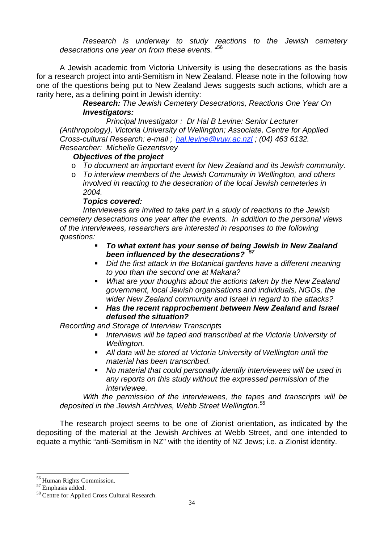*Research is underway to study reactions to the Jewish cemetery desecrations one year on from these events.* "56

A Jewish academic from Victoria University is using the desecrations as the basis for a research project into anti-Semitism in New Zealand. Please note in the following how one of the questions being put to New Zealand Jews suggests such actions, which are a rarity here, as a defining point in Jewish identity:

*Research: The Jewish Cemetery Desecrations, Reactions One Year On Investigators:* 

 *Principal Investigator : Dr Hal B Levine: Senior Lecturer (Anthropology), Victoria University of Wellington; Associate, Centre for Applied Cross-cultural Research: e-mail ; hal.levine@vuw.ac.nzl ; (04) 463 6132. Researcher: Michelle Gezentsvey* 

#### *Objectives of the project*

- o *To document an important event for New Zealand and its Jewish community.*
- o *To interview members of the Jewish Community in Wellington, and others involved in reacting to the desecration of the local Jewish cemeteries in 2004.*

#### *Topics covered:*

*Interviewees are invited to take part in a study of reactions to the Jewish cemetery desecrations one year after the events. In addition to the personal views of the interviewees, researchers are interested in responses to the following questions:* 

- *To what extent has your sense of being Jewish in New Zealand been influenced by the desecrations? <sup>57</sup>*
- *Did the first attack in the Botanical gardens have a different meaning to you than the second one at Makara?*
- *What are your thoughts about the actions taken by the New Zealand government, local Jewish organisations and individuals, NGOs, the wider New Zealand community and Israel in regard to the attacks?*
- *Has the recent rapprochement between New Zealand and Israel defused the situation?*

*Recording and Storage of Interview Transcripts* 

- *Interviews will be taped and transcribed at the Victoria University of Wellington.*
- **All data will be stored at Victoria University of Wellington until the** *material has been transcribed.*
- *No material that could personally identify interviewees will be used in any reports on this study without the expressed permission of the interviewee.*

*With the permission of the interviewees, the tapes and transcripts will be deposited in the Jewish Archives, Webb Street Wellington.58*

The research project seems to be one of Zionist orientation, as indicated by the depositing of the material at the Jewish Archives at Webb Street, and one intended to equate a mythic "anti-Semitism in NZ" with the identity of NZ Jews; i.e. a Zionist identity.

1

<sup>56</sup> Human Rights Commission.

<sup>57</sup> Emphasis added.

<sup>58</sup> Centre for Applied Cross Cultural Research.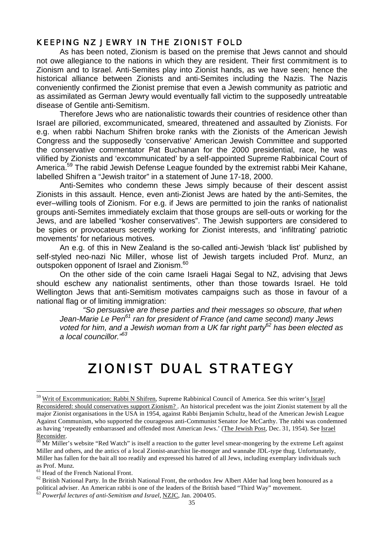#### KEEPING NZ JEWRY IN THE ZIONIST FOLD

 As has been noted, Zionism is based on the premise that Jews cannot and should not owe allegiance to the nations in which they are resident. Their first commitment is to Zionism and to Israel. Anti-Semites play into Zionist hands, as we have seen; hence the historical alliance between Zionists and anti-Semites including the Nazis. The Nazis conveniently confirmed the Zionist premise that even a Jewish community as patriotic and as assimilated as German Jewry would eventually fall victim to the supposedly untreatable disease of Gentile anti-Semitism.

 Therefore Jews who are nationalistic towards their countries of residence other than Israel are pilloried, excommunicated, smeared, threatened and assaulted by Zionists. For e.g. when rabbi Nachum Shifren broke ranks with the Zionists of the American Jewish Congress and the supposedly 'conservative' American Jewish Committee and supported the conservative commentator Pat Buchanan for the 2000 presidential, race, he was vilified by Zionists and 'excommunicated' by a self-appointed Supreme Rabbinical Court of America.<sup>59</sup> The rabid Jewish Defense League founded by the extremist rabbi Meir Kahane, labelled Shifren a "Jewish traitor" in a statement of June 17-18, 2000.

Anti-Semites who condemn these Jews simply because of their descent assist Zionists in this assault. Hence, even anti-Zionist Jews are hated by the anti-Semites, the ever–willing tools of Zionism. For e.g. if Jews are permitted to join the ranks of nationalist groups anti-Semites immediately exclaim that those groups are sell-outs or working for the Jews, and are labelled "kosher conservatives". The Jewish supporters are considered to be spies or provocateurs secretly working for Zionist interests, and 'infiltrating' patriotic movements' for nefarious motives.

 An e.g. of this in New Zealand is the so-called anti-Jewish 'black list' published by self-styled neo-nazi Nic Miller, whose list of Jewish targets included Prof. Munz, an outspoken opponent of Israel and Zionism.<sup>60</sup>

 On the other side of the coin came Israeli Hagai Segal to NZ, advising that Jews should eschew any nationalist sentiments, other than those towards Israel. He told Wellington Jews that anti-Semitism motivates campaigns such as those in favour of a national flag or of limiting immigration:

*"So persuasive are these parties and their messages so obscure, that when Jean-Marie Le Pen61 ran for president of France (and came second) many Jews*  voted for him, and a Jewish woman from a UK far right party<sup>62</sup> has been elected as *a local councillor."63*

## ZIONIST DUAL STRATEGY

1

<sup>&</sup>lt;sup>59</sup> Writ of Excommunication: Rabbi N Shifren, Supreme Rabbinical Council of America. See this writer's *Israel* Reconsidered: should conservatives support Zionism? . An historical precedent was the joint Zionist statement by all the major Zionist organisations in the USA in 1954, against Rabbi Benjamin Schultz, head of the American Jewish League Against Communism, who supported the courageous anti-Communist Senator Joe McCarthy. The rabbi was condemned as having 'repeatedly embarrassed and offended most American Jews.' (The Jewish Post, Dec. 31, 1954). See Israel Reconsider.<br><sup>60</sup> Mr Miller's website "Red Watch" is itself a reaction to the gutter level smear-mongering by the extreme Left against

Miller and others, and the antics of a local Zionist-anarchist lie-monger and wannabe JDL-type thug. Unfortunately, Miller has fallen for the bait all too readily and expressed his hatred of all Jews, including exemplary individuals such as Prof. Munz.

<sup>&</sup>lt;sup>61</sup> Head of the French National Front.

 $62$  British National Party. In the British National Front, the orthodox Jew Albert Alder had long been honoured as a political adviser. An American rabbi is one of the leaders of the British based "Third Way" movement.

<sup>63</sup> *Powerful lectures of anti-Semitism and Israel*, NZJC, Jan. 2004/05.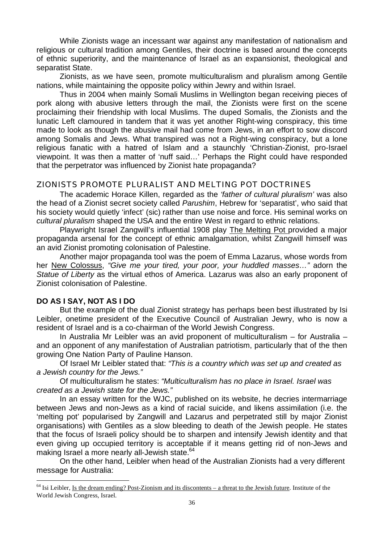While Zionists wage an incessant war against any manifestation of nationalism and religious or cultural tradition among Gentiles, their doctrine is based around the concepts of ethnic superiority, and the maintenance of Israel as an expansionist, theological and separatist State.

 Zionists, as we have seen, promote multiculturalism and pluralism among Gentile nations, while maintaining the opposite policy within Jewry and within Israel.

Thus in 2004 when mainly Somali Muslims in Wellington began receiving pieces of pork along with abusive letters through the mail, the Zionists were first on the scene proclaiming their friendship with local Muslims. The duped Somalis, the Zionists and the lunatic Left clamoured in tandem that it was yet another Right-wing conspiracy, this time made to look as though the abusive mail had come from Jews, in an effort to sow discord among Somalis and Jews. What transpired was not a Right-wing conspiracy, but a lone religious fanatic with a hatred of Islam and a staunchly 'Christian-Zionist, pro-Israel viewpoint. It was then a matter of 'nuff said…' Perhaps the Right could have responded that the perpetrator was influenced by Zionist hate propaganda?

#### ZIONISTS PROMOTE PLURALIST AND MELTING POT DOCTRINES

 The academic Horace Killen, regarded as the *'father of cultural pluralism'* was also the head of a Zionist secret society called *Parushim*, Hebrew for 'separatist', who said that his society would quietly 'infect' (sic) rather than use noise and force. His seminal works on *cultural pluralism* shaped the USA and the entire West in regard to ethnic relations.

 Playwright Israel Zangwill's influential 1908 play The Melting Pot provided a major propaganda arsenal for the concept of ethnic amalgamation, whilst Zangwill himself was an avid Zionist promoting colonisation of Palestine.

 Another major propaganda tool was the poem of Emma Lazarus, whose words from her New Colossus, *"Give me your tired, your poor, your huddled masses…"* adorn the *Statue of Liberty* as the virtual ethos of America. Lazarus was also an early proponent of Zionist colonisation of Palestine.

#### **DO AS I SAY, NOT AS I DO**

<u>.</u>

 But the example of the dual Zionist strategy has perhaps been best illustrated by Isi Leibler, onetime president of the Executive Council of Australian Jewry, who is now a resident of Israel and is a co-chairman of the World Jewish Congress.

 In Australia Mr Leibler was an avid proponent of multiculturalism – for Australia – and an opponent of any manifestation of Australian patriotism, particularly that of the then growing One Nation Party of Pauline Hanson.

 Of Israel Mr Leibler stated that: *"This is a country which was set up and created as a Jewish country for the Jews."* 

 Of multiculturalism he states: *"Multiculturalism has no place in Israel. Israel was created as a Jewish state for the Jews."*

 In an essay written for the WJC, published on its website, he decries intermarriage between Jews and non-Jews as a kind of racial suicide, and likens assimilation (i.e. the 'melting pot' popularised by Zangwill and Lazarus and perpetrated still by major Zionist organisations) with Gentiles as a slow bleeding to death of the Jewish people. He states that the focus of Israeli policy should be to sharpen and intensify Jewish identity and that even giving up occupied territory is acceptable if it means getting rid of non-Jews and making Israel a more nearly all-Jewish state.<sup>64</sup>

 On the other hand, Leibler when head of the Australian Zionists had a very different message for Australia:

 $64$  Isi Leibler, Is the dream ending? Post-Zionism and its discontents – a threat to the Jewish future. Institute of the World Jewish Congress, Israel.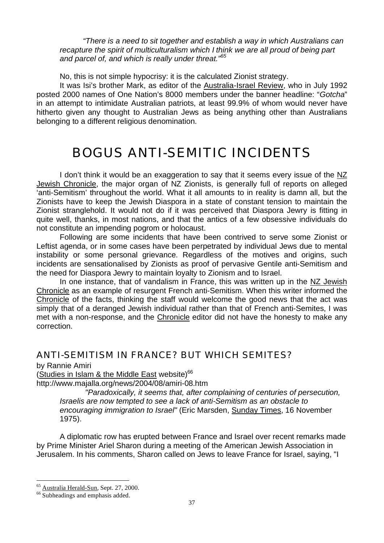*"There is a need to sit together and establish a way in which Australians can recapture the spirit of multiculturalism which I think we are all proud of being part and parcel of, and which is really under threat."<sup>65</sup>*

No, this is not simple hypocrisy: it is the calculated Zionist strategy.

It was Isi's brother Mark, as editor of the Australia-Israel Review, who in July 1992 posted 2000 names of One Nation's 8000 members under the banner headline: "*Gotcha*" in an attempt to intimidate Australian patriots, at least 99.9% of whom would never have hitherto given any thought to Australian Jews as being anything other than Australians belonging to a different religious denomination.

## BOGUS ANTI-SEMITIC INCIDENTS

I don't think it would be an exaggeration to say that it seems every issue of the NZ Jewish Chronicle, the major organ of NZ Zionists, is generally full of reports on alleged 'anti-Semitism' throughout the world. What it all amounts to in reality is damn all, but the Zionists have to keep the Jewish Diaspora in a state of constant tension to maintain the Zionist stranglehold. It would not do if it was perceived that Diaspora Jewry is fitting in quite well, thanks, in most nations, and that the antics of a few obsessive individuals do not constitute an impending pogrom or holocaust.

 Following are some incidents that have been contrived to serve some Zionist or Leftist agenda, or in some cases have been perpetrated by individual Jews due to mental instability or some personal grievance. Regardless of the motives and origins, such incidents are sensationalised by Zionists as proof of pervasive Gentile anti-Semitism and the need for Diaspora Jewry to maintain loyalty to Zionism and to Israel.

 In one instance, that of vandalism in France, this was written up in the NZ Jewish Chronicle as an example of resurgent French anti-Semitism. When this writer informed the Chronicle of the facts, thinking the staff would welcome the good news that the act was simply that of a deranged Jewish individual rather than that of French anti-Semites, I was met with a non-response, and the Chronicle editor did not have the honesty to make any correction.

## ANTI-SEMITISM IN FRANCE? BUT WHICH SEMITES?

by Rannie Amiri

(Studies in Islam & the Middle East website) $66$ http://www.majalla.org/news/2004/08/amiri-08.htm

> *"Paradoxically, it seems that, after complaining of centuries of persecution, Israelis are now tempted to see a lack of anti-Semitism as an obstacle to encouraging immigration to Israel"* (Eric Marsden, Sunday Times, 16 November 1975).

A diplomatic row has erupted between France and Israel over recent remarks made by Prime Minister Ariel Sharon during a meeting of the American Jewish Association in Jerusalem. In his comments, Sharon called on Jews to leave France for Israel, saying, "I

<u>.</u>

 $65 \text{ Australia Herald-Sun}$ , Sept. 27, 2000.<br> $66 \text{ Subheadings and emphasis added.}$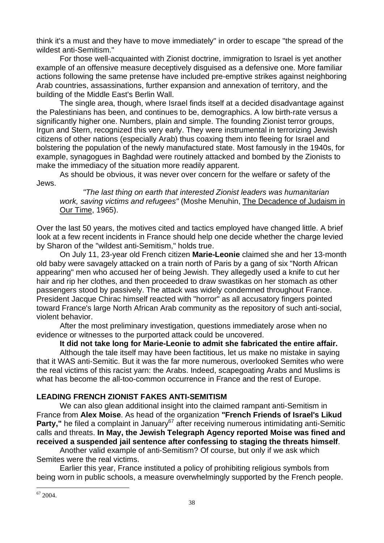think it's a must and they have to move immediately" in order to escape "the spread of the wildest anti-Semitism."

For those well-acquainted with Zionist doctrine, immigration to Israel is yet another example of an offensive measure deceptively disguised as a defensive one. More familiar actions following the same pretense have included pre-emptive strikes against neighboring Arab countries, assassinations, further expansion and annexation of territory, and the building of the Middle East's Berlin Wall.

The single area, though, where Israel finds itself at a decided disadvantage against the Palestinians has been, and continues to be, demographics. A low birth-rate versus a significantly higher one. Numbers, plain and simple. The founding Zionist terror groups, Irgun and Stern, recognized this very early. They were instrumental in terrorizing Jewish citizens of other nations (especially Arab) thus coaxing them into fleeing for Israel and bolstering the population of the newly manufactured state. Most famously in the 1940s, for example, synagogues in Baghdad were routinely attacked and bombed by the Zionists to make the immediacy of the situation more readily apparent.

As should be obvious, it was never over concern for the welfare or safety of the Jews.

*"The last thing on earth that interested Zionist leaders was humanitarian work, saving victims and refugees"* (Moshe Menuhin, The Decadence of Judaism in Our Time, 1965).

Over the last 50 years, the motives cited and tactics employed have changed little. A brief look at a few recent incidents in France should help one decide whether the charge levied by Sharon of the "wildest anti-Semitism," holds true.

On July 11, 23-year old French citizen **Marie-Leonie** claimed she and her 13-month old baby were savagely attacked on a train north of Paris by a gang of six "North African appearing" men who accused her of being Jewish. They allegedly used a knife to cut her hair and rip her clothes, and then proceeded to draw swastikas on her stomach as other passengers stood by passively. The attack was widely condemned throughout France. President Jacque Chirac himself reacted with "horror" as all accusatory fingers pointed toward France's large North African Arab community as the repository of such anti-social, violent behavior.

After the most preliminary investigation, questions immediately arose when no evidence or witnesses to the purported attack could be uncovered.

#### **It did not take long for Marie-Leonie to admit she fabricated the entire affair.**

Although the tale itself may have been factitious, let us make no mistake in saying that it WAS anti-Semitic. But it was the far more numerous, overlooked Semites who were the real victims of this racist yarn: the Arabs. Indeed, scapegoating Arabs and Muslims is what has become the all-too-common occurrence in France and the rest of Europe.

### **LEADING FRENCH ZIONIST FAKES ANTI-SEMITISM**

We can also glean additional insight into the claimed rampant anti-Semitism in France from **Alex Moise**. As head of the organization **"French Friends of Israel's Likud**  Party," he filed a complaint in January<sup>67</sup> after receiving numerous intimidating anti-Semitic calls and threats. **In May, the Jewish Telegraph Agency reported Moise was fined and received a suspended jail sentence after confessing to staging the threats himself**.

Another valid example of anti-Semitism? Of course, but only if we ask which Semites were the real victims.

Earlier this year, France instituted a policy of prohibiting religious symbols from being worn in public schools, a measure overwhelmingly supported by the French people.

<sup>1</sup>  $67,2004$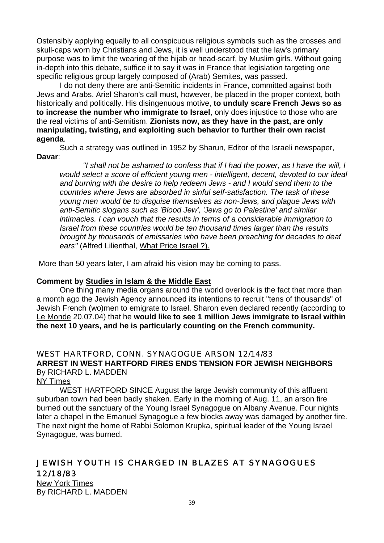Ostensibly applying equally to all conspicuous religious symbols such as the crosses and skull-caps worn by Christians and Jews, it is well understood that the law's primary purpose was to limit the wearing of the hijab or head-scarf, by Muslim girls. Without going in-depth into this debate, suffice it to say it was in France that legislation targeting one specific religious group largely composed of (Arab) Semites, was passed.

I do not deny there are anti-Semitic incidents in France, committed against both Jews and Arabs. Ariel Sharon's call must, however, be placed in the proper context, both historically and politically. His disingenuous motive, **to unduly scare French Jews so as to increase the number who immigrate to Israel**, only does injustice to those who are the real victims of anti-Semitism. **Zionists now, as they have in the past, are only manipulating, twisting, and exploiting such behavior to further their own racist agenda**.

Such a strategy was outlined in 1952 by Sharun, Editor of the Israeli newspaper, **Davar**:

*"I shall not be ashamed to confess that if I had the power, as I have the will, I would select a score of efficient young men - intelligent, decent, devoted to our ideal and burning with the desire to help redeem Jews - and I would send them to the countries where Jews are absorbed in sinful self-satisfaction. The task of these young men would be to disguise themselves as non-Jews, and plague Jews with anti-Semitic slogans such as 'Blood Jew', 'Jews go to Palestine' and similar intimacies. I can vouch that the results in terms of a considerable immigration to Israel from these countries would be ten thousand times larger than the results brought by thousands of emissaries who have been preaching for decades to deaf ears"* (Alfred Lilienthal, What Price Israel ?).

More than 50 years later, I am afraid his vision may be coming to pass.

#### **Comment by Studies in Islam & the Middle East**

One thing many media organs around the world overlook is the fact that more than a month ago the Jewish Agency announced its intentions to recruit "tens of thousands" of Jewish French (wo)men to emigrate to Israel. Sharon even declared recently (according to Le Monde 20.07.04) that he **would like to see 1 million Jews immigrate to Israel within the next 10 years, and he is particularly counting on the French community.**

#### WEST HARTFORD, CONN. SYNAGOGUE ARSON 12/14/83 **ARREST IN WEST HARTFORD FIRES ENDS TENSION FOR JEWISH NEIGHBORS**  By RICHARD L. MADDEN

NY Times

WEST HARTFORD SINCE August the large Jewish community of this affluent suburban town had been badly shaken. Early in the morning of Aug. 11, an arson fire burned out the sanctuary of the Young Israel Synagogue on Albany Avenue. Four nights later a chapel in the Emanuel Synagogue a few blocks away was damaged by another fire. The next night the home of Rabbi Solomon Krupka, spiritual leader of the Young Israel Synagogue, was burned.

### JEWISH YOUTH IS CHARGED IN BLAZES AT SYNAGOGUES 12/18/83

New York Times By RICHARD L. MADDEN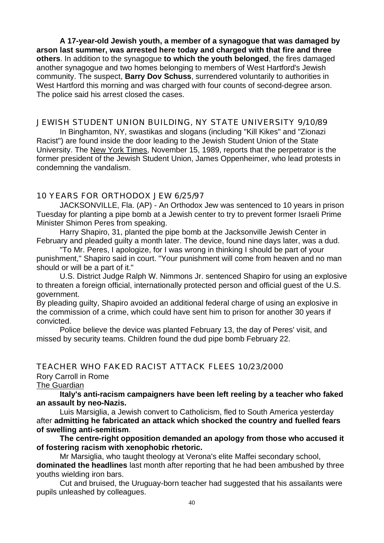**A 17-year-old Jewish youth, a member of a synagogue that was damaged by arson last summer, was arrested here today and charged with that fire and three others**. In addition to the synagogue **to which the youth belonged**, the fires damaged another synagogue and two homes belonging to members of West Hartford's Jewish community. The suspect, **Barry Dov Schuss**, surrendered voluntarily to authorities in West Hartford this morning and was charged with four counts of second-degree arson. The police said his arrest closed the cases.

#### JEWISH STUDENT UNION BUILDING, NY STATE UNIVERSITY 9/10/89

In Binghamton, NY, swastikas and slogans (including "Kill Kikes" and "Zionazi Racist") are found inside the door leading to the Jewish Student Union of the State University. The New York Times, November 15, 1989, reports that the perpetrator is the former president of the Jewish Student Union, James Oppenheimer, who lead protests in condemning the vandalism.

#### 10 YEARS FOR ORTHODOX JEW 6/25/97

JACKSONVILLE, Fla. (AP) - An Orthodox Jew was sentenced to 10 years in prison Tuesday for planting a pipe bomb at a Jewish center to try to prevent former Israeli Prime Minister Shimon Peres from speaking.

Harry Shapiro, 31, planted the pipe bomb at the Jacksonville Jewish Center in February and pleaded guilty a month later. The device, found nine days later, was a dud.

"To Mr. Peres, I apologize, for I was wrong in thinking I should be part of your punishment," Shapiro said in court. "Your punishment will come from heaven and no man should or will be a part of it."

U.S. District Judge Ralph W. Nimmons Jr. sentenced Shapiro for using an explosive to threaten a foreign official, internationally protected person and official guest of the U.S. government.

By pleading guilty, Shapiro avoided an additional federal charge of using an explosive in the commission of a crime, which could have sent him to prison for another 30 years if convicted.

Police believe the device was planted February 13, the day of Peres' visit, and missed by security teams. Children found the dud pipe bomb February 22.

### TEACHER WHO FAKED RACIST ATTACK FLEES 10/23/2000

Rory Carroll in Rome

The Guardian

**Italy's anti-racism campaigners have been left reeling by a teacher who faked an assault by neo-Nazis.** 

Luis Marsiglia, a Jewish convert to Catholicism, fled to South America yesterday after **admitting he fabricated an attack which shocked the country and fuelled fears of swelling anti-semitism**.

**The centre-right opposition demanded an apology from those who accused it of fostering racism with xenophobic rhetoric.** 

Mr Marsiglia, who taught theology at Verona's elite Maffei secondary school, **dominated the headlines** last month after reporting that he had been ambushed by three youths wielding iron bars.

Cut and bruised, the Uruguay-born teacher had suggested that his assailants were pupils unleashed by colleagues.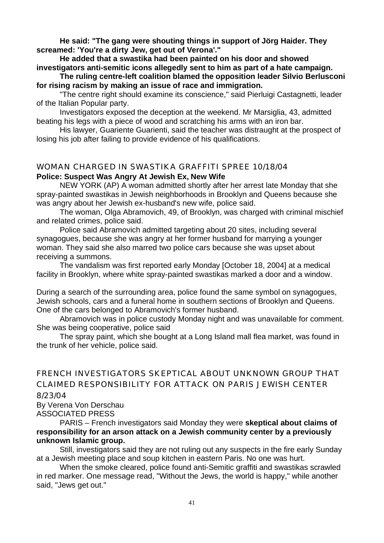**He said: "The gang were shouting things in support of Jörg Haider. They screamed: 'You're a dirty Jew, get out of Verona'."** 

**He added that a swastika had been painted on his door and showed investigators anti-semitic icons allegedly sent to him as part of a hate campaign.** 

**The ruling centre-left coalition blamed the opposition leader Silvio Berlusconi for rising racism by making an issue of race and immigration.** 

"The centre right should examine its conscience," said Pierluigi Castagnetti, leader of the Italian Popular party.

Investigators exposed the deception at the weekend. Mr Marsiglia, 43, admitted beating his legs with a piece of wood and scratching his arms with an iron bar.

His lawyer, Guariente Guarienti, said the teacher was distraught at the prospect of losing his job after failing to provide evidence of his qualifications.

#### WOMAN CHARGED IN SWASTIKA GRAFFITI SPREE 10/18/04 **Police: Suspect Was Angry At Jewish Ex, New Wife**

NEW YORK (AP) A woman admitted shortly after her arrest late Monday that she spray-painted swastikas in Jewish neighborhoods in Brooklyn and Queens because she was angry about her Jewish ex-husband's new wife, police said.

The woman, Olga Abramovich, 49, of Brooklyn, was charged with criminal mischief and related crimes, police said.

Police said Abramovich admitted targeting about 20 sites, including several synagogues, because she was angry at her former husband for marrying a younger woman. They said she also marred two police cars because she was upset about receiving a summons.

The vandalism was first reported early Monday [October 18, 2004] at a medical facility in Brooklyn, where white spray-painted swastikas marked a door and a window.

During a search of the surrounding area, police found the same symbol on synagogues, Jewish schools, cars and a funeral home in southern sections of Brooklyn and Queens. One of the cars belonged to Abramovich's former husband.

Abramovich was in police custody Monday night and was unavailable for comment. She was being cooperative, police said

The spray paint, which she bought at a Long Island mall flea market, was found in the trunk of her vehicle, police said.

## FRENCH INVESTIGATORS SKEPTICAL ABOUT UNKNOWN GROUP THAT CLAIMED RESPONSIBILITY FOR ATTACK ON PARIS JEWISH CENTER

#### 8/23/04

By Verena Von Derschau ASSOCIATED PRESS

PARIS – French investigators said Monday they were **skeptical about claims of responsibility for an arson attack on a Jewish community center by a previously unknown Islamic group.**

Still, investigators said they are not ruling out any suspects in the fire early Sunday at a Jewish meeting place and soup kitchen in eastern Paris. No one was hurt.

When the smoke cleared, police found anti-Semitic graffiti and swastikas scrawled in red marker. One message read, "Without the Jews, the world is happy," while another said, "Jews get out."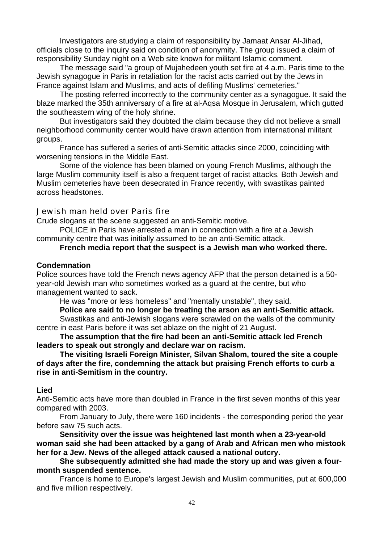Investigators are studying a claim of responsibility by Jamaat Ansar Al-Jihad, officials close to the inquiry said on condition of anonymity. The group issued a claim of responsibility Sunday night on a Web site known for militant Islamic comment.

The message said "a group of Mujahedeen youth set fire at 4 a.m. Paris time to the Jewish synagogue in Paris in retaliation for the racist acts carried out by the Jews in France against Islam and Muslims, and acts of defiling Muslims' cemeteries."

The posting referred incorrectly to the community center as a synagogue. It said the blaze marked the 35th anniversary of a fire at al-Aqsa Mosque in Jerusalem, which gutted the southeastern wing of the holy shrine.

But investigators said they doubted the claim because they did not believe a small neighborhood community center would have drawn attention from international militant groups.

France has suffered a series of anti-Semitic attacks since 2000, coinciding with worsening tensions in the Middle East.

Some of the violence has been blamed on young French Muslims, although the large Muslim community itself is also a frequent target of racist attacks. Both Jewish and Muslim cemeteries have been desecrated in France recently, with swastikas painted across headstones.

#### Jewish man held over Paris fire

Crude slogans at the scene suggested an anti-Semitic motive.

POLICE in Paris have arrested a man in connection with a fire at a Jewish community centre that was initially assumed to be an anti-Semitic attack.

#### **French media report that the suspect is a Jewish man who worked there.**

#### **Condemnation**

Police sources have told the French news agency AFP that the person detained is a 50 year-old Jewish man who sometimes worked as a guard at the centre, but who management wanted to sack.

He was "more or less homeless" and "mentally unstable", they said.

**Police are said to no longer be treating the arson as an anti-Semitic attack.**  Swastikas and anti-Jewish slogans were scrawled on the walls of the community centre in east Paris before it was set ablaze on the night of 21 August.

**The assumption that the fire had been an anti-Semitic attack led French leaders to speak out strongly and declare war on racism.** 

**The visiting Israeli Foreign Minister, Silvan Shalom, toured the site a couple of days after the fire, condemning the attack but praising French efforts to curb a rise in anti-Semitism in the country.** 

#### **Lied**

Anti-Semitic acts have more than doubled in France in the first seven months of this year compared with 2003.

From January to July, there were 160 incidents - the corresponding period the year before saw 75 such acts.

**Sensitivity over the issue was heightened last month when a 23-year-old woman said she had been attacked by a gang of Arab and African men who mistook her for a Jew. News of the alleged attack caused a national outcry.** 

#### **She subsequently admitted she had made the story up and was given a fourmonth suspended sentence.**

France is home to Europe's largest Jewish and Muslim communities, put at 600,000 and five million respectively.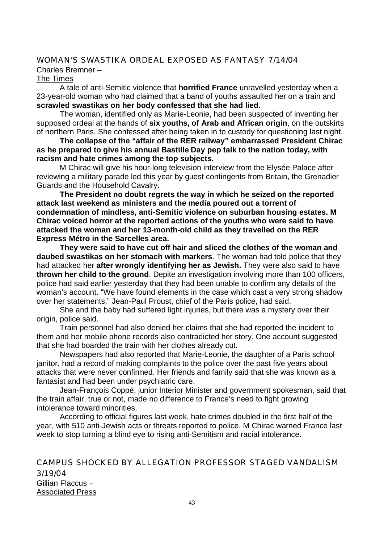#### WOMAN'S SWASTIKA ORDEAL EXPOSED AS FANTASY 7/14/04

Charles Bremner –

#### The Times

A tale of anti-Semitic violence that **horrified France** unravelled yesterday when a 23-year-old woman who had claimed that a band of youths assaulted her on a train and **scrawled swastikas on her body confessed that she had lied**.

The woman, identified only as Marie-Leonie, had been suspected of inventing her supposed ordeal at the hands of **six youths, of Arab and African origin**, on the outskirts of northern Paris. She confessed after being taken in to custody for questioning last night.

**The collapse of the "affair of the RER railway" embarrassed President Chirac as he prepared to give his annual Bastille Day pep talk to the nation today, with racism and hate crimes among the top subjects.** 

M Chirac will give his hour-long television interview from the Elysée Palace after reviewing a military parade led this year by guest contingents from Britain, the Grenadier Guards and the Household Cavalry.

**The President no doubt regrets the way in which he seized on the reported attack last weekend as ministers and the media poured out a torrent of condemnation of mindless, anti-Semitic violence on suburban housing estates. M Chirac voiced horror at the reported actions of the youths who were said to have attacked the woman and her 13-month-old child as they travelled on the RER Express Métro in the Sarcelles area.** 

**They were said to have cut off hair and sliced the clothes of the woman and daubed swastikas on her stomach with markers**. The woman had told police that they had attacked her **after wrongly identifying her as Jewish.** They were also said to have **thrown her child to the ground**. Depite an investigation involving more than 100 officers, police had said earlier yesterday that they had been unable to confirm any details of the woman's account. "We have found elements in the case which cast a very strong shadow over her statements," Jean-Paul Proust, chief of the Paris police, had said.

She and the baby had suffered light injuries, but there was a mystery over their origin, police said.

Train personnel had also denied her claims that she had reported the incident to them and her mobile phone records also contradicted her story. One account suggested that she had boarded the train with her clothes already cut.

Newspapers had also reported that Marie-Leonie, the daughter of a Paris school janitor, had a record of making complaints to the police over the past five years about attacks that were never confirmed. Her friends and family said that she was known as a fantasist and had been under psychiatric care.

Jean-François Coppé, junior Interior Minister and government spokesman, said that the train affair, true or not, made no difference to France's need to fight growing intolerance toward minorities.

According to official figures last week, hate crimes doubled in the first half of the year, with 510 anti-Jewish acts or threats reported to police. M Chirac warned France last week to stop turning a blind eye to rising anti-Semitism and racial intolerance.

#### CAMPUS SHOCKED BY ALLEGATION PROFESSOR STAGED VANDALISM 3/19/04 Gillian Flaccus –

Associated Press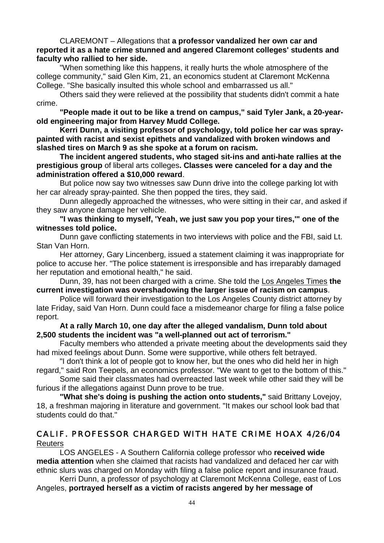#### CLAREMONT – Allegations that **a professor vandalized her own car and reported it as a hate crime stunned and angered Claremont colleges' students and faculty who rallied to her side.**

"When something like this happens, it really hurts the whole atmosphere of the college community," said Glen Kim, 21, an economics student at Claremont McKenna College. "She basically insulted this whole school and embarrassed us all."

Others said they were relieved at the possibility that students didn't commit a hate crime.

**"People made it out to be like a trend on campus," said Tyler Jank, a 20-yearold engineering major from Harvey Mudd College.** 

**Kerri Dunn, a visiting professor of psychology, told police her car was spraypainted with racist and sexist epithets and vandalized with broken windows and slashed tires on March 9 as she spoke at a forum on racism.** 

**The incident angered students, who staged sit-ins and anti-hate rallies at the prestigious group** of liberal arts colleges**. Classes were canceled for a day and the administration offered a \$10,000 reward**.

But police now say two witnesses saw Dunn drive into the college parking lot with her car already spray-painted. She then popped the tires, they said.

Dunn allegedly approached the witnesses, who were sitting in their car, and asked if they saw anyone damage her vehicle.

#### **"I was thinking to myself, 'Yeah, we just saw you pop your tires,'" one of the witnesses told police.**

Dunn gave conflicting statements in two interviews with police and the FBI, said Lt. Stan Van Horn.

Her attorney, Gary Lincenberg, issued a statement claiming it was inappropriate for police to accuse her. "The police statement is irresponsible and has irreparably damaged her reputation and emotional health," he said.

Dunn, 39, has not been charged with a crime. She told the Los Angeles Times **the current investigation was overshadowing the larger issue of racism on campus**.

Police will forward their investigation to the Los Angeles County district attorney by late Friday, said Van Horn. Dunn could face a misdemeanor charge for filing a false police report.

#### **At a rally March 10, one day after the alleged vandalism, Dunn told about 2,500 students the incident was "a well-planned out act of terrorism."**

Faculty members who attended a private meeting about the developments said they had mixed feelings about Dunn. Some were supportive, while others felt betrayed.

"I don't think a lot of people got to know her, but the ones who did held her in high regard," said Ron Teepels, an economics professor. "We want to get to the bottom of this."

Some said their classmates had overreacted last week while other said they will be furious if the allegations against Dunn prove to be true.

**"What she's doing is pushing the action onto students,"** said Brittany Lovejoy, 18, a freshman majoring in literature and government. "It makes our school look bad that students could do that."

## CALIF. PROFESSOR CHARGED WITH HATE CRIME HOAX 4/26/04

#### **Reuters**

LOS ANGELES - A Southern California college professor who **received wide media attention** when she claimed that racists had vandalized and defaced her car with ethnic slurs was charged on Monday with filing a false police report and insurance fraud.

Kerri Dunn, a professor of psychology at Claremont McKenna College, east of Los Angeles, **portrayed herself as a victim of racists angered by her message of**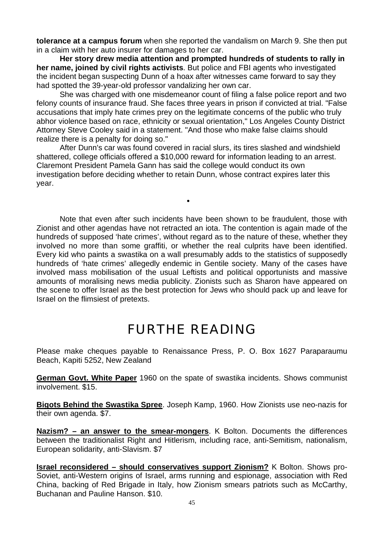**tolerance at a campus forum** when she reported the vandalism on March 9. She then put in a claim with her auto insurer for damages to her car.

**Her story drew media attention and prompted hundreds of students to rally in her name, joined by civil rights activists**. But police and FBI agents who investigated the incident began suspecting Dunn of a hoax after witnesses came forward to say they had spotted the 39-year-old professor vandalizing her own car.

She was charged with one misdemeanor count of filing a false police report and two felony counts of insurance fraud. She faces three years in prison if convicted at trial. "False accusations that imply hate crimes prey on the legitimate concerns of the public who truly abhor violence based on race, ethnicity or sexual orientation," Los Angeles County District Attorney Steve Cooley said in a statement. "And those who make false claims should realize there is a penalty for doing so."

After Dunn's car was found covered in racial slurs, its tires slashed and windshield shattered, college officials offered a \$10,000 reward for information leading to an arrest. Claremont President Pamela Gann has said the college would conduct its own investigation before deciding whether to retain Dunn, whose contract expires later this year.

•

Note that even after such incidents have been shown to be fraudulent, those with Zionist and other agendas have not retracted an iota. The contention is again made of the hundreds of supposed 'hate crimes', without regard as to the nature of these, whether they involved no more than some graffiti, or whether the real culprits have been identified. Every kid who paints a swastika on a wall presumably adds to the statistics of supposedly hundreds of 'hate crimes' allegedly endemic in Gentile society. Many of the cases have involved mass mobilisation of the usual Leftists and political opportunists and massive amounts of moralising news media publicity. Zionists such as Sharon have appeared on the scene to offer Israel as the best protection for Jews who should pack up and leave for Israel on the flimsiest of pretexts.

## FURTHE READING

Please make cheques payable to Renaissance Press, P. O. Box 1627 Paraparaumu Beach, Kapiti 5252, New Zealand

**German Govt. White Paper** 1960 on the spate of swastika incidents. Shows communist involvement. \$15.

**Bigots Behind the Swastika Spree**. Joseph Kamp, 1960. How Zionists use neo-nazis for their own agenda. \$7.

**Nazism? – an answer to the smear-mongers**. K Bolton. Documents the differences between the traditionalist Right and Hitlerism, including race, anti-Semitism, nationalism, European solidarity, anti-Slavism. \$7

**Israel reconsidered – should conservatives support Zionism?** K Bolton. Shows pro-Soviet, anti-Western origins of Israel, arms running and espionage, association with Red China, backing of Red Brigade in Italy, how Zionism smears patriots such as McCarthy, Buchanan and Pauline Hanson. \$10.